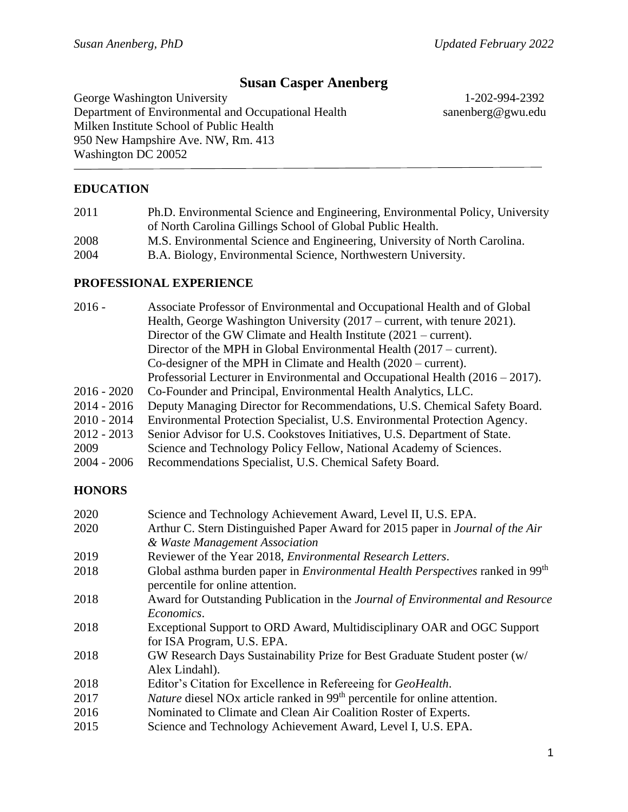# **Susan Casper Anenberg**

George Washington University 1-202-994-2392 Department of Environmental and Occupational Health sanenberg@gwu.edu Milken Institute School of Public Health 950 New Hampshire Ave. NW, Rm. 413 Washington DC 20052

### **EDUCATION**

| 2011 | Ph.D. Environmental Science and Engineering, Environmental Policy, University |
|------|-------------------------------------------------------------------------------|
|      | of North Carolina Gillings School of Global Public Health.                    |
| 2008 | M.S. Environmental Science and Engineering, University of North Carolina.     |
| 2004 | B.A. Biology, Environmental Science, Northwestern University.                 |

#### **PROFESSIONAL EXPERIENCE**

| $2016 -$    | Associate Professor of Environmental and Occupational Health and of Global       |
|-------------|----------------------------------------------------------------------------------|
|             | Health, George Washington University $(2017 -$ current, with tenure 2021).       |
|             | Director of the GW Climate and Health Institute $(2021 - current)$ .             |
|             | Director of the MPH in Global Environmental Health $(2017 - current)$ .          |
|             | Co-designer of the MPH in Climate and Health $(2020 - current)$ .                |
|             | Professorial Lecturer in Environmental and Occupational Health $(2016 - 2017)$ . |
| 2016 - 2020 | Co-Founder and Principal, Environmental Health Analytics, LLC.                   |
| 2014 - 2016 | Deputy Managing Director for Recommendations, U.S. Chemical Safety Board.        |
| 2010 - 2014 | Environmental Protection Specialist, U.S. Environmental Protection Agency.       |
| 2012 - 2013 | Senior Advisor for U.S. Cookstoves Initiatives, U.S. Department of State.        |
| 2009        | Science and Technology Policy Fellow, National Academy of Sciences.              |
| 2004 - 2006 | Recommendations Specialist, U.S. Chemical Safety Board.                          |
|             |                                                                                  |

#### **HONORS**

| 2020 | Science and Technology Achievement Award, Level II, U.S. EPA.                                                                         |
|------|---------------------------------------------------------------------------------------------------------------------------------------|
| 2020 | Arthur C. Stern Distinguished Paper Award for 2015 paper in Journal of the Air                                                        |
|      | & Waste Management Association                                                                                                        |
| 2019 | Reviewer of the Year 2018, Environmental Research Letters.                                                                            |
| 2018 | Global asthma burden paper in <i>Environmental Health Perspectives</i> ranked in 99 <sup>th</sup><br>percentile for online attention. |
| 2018 | Award for Outstanding Publication in the Journal of Environmental and Resource                                                        |
|      | Economics.                                                                                                                            |
| 2018 | Exceptional Support to ORD Award, Multidisciplinary OAR and OGC Support                                                               |
|      | for ISA Program, U.S. EPA.                                                                                                            |
| 2018 | GW Research Days Sustainability Prize for Best Graduate Student poster (w/                                                            |
|      | Alex Lindahl).                                                                                                                        |
| 2018 | Editor's Citation for Excellence in Refereeing for <i>GeoHealth</i> .                                                                 |
| 2017 | Nature diesel NO <sub>x</sub> article ranked in 99 <sup>th</sup> percentile for online attention.                                     |
| 2016 | Nominated to Climate and Clean Air Coalition Roster of Experts.                                                                       |
| 2015 | Science and Technology Achievement Award, Level I, U.S. EPA.                                                                          |
|      |                                                                                                                                       |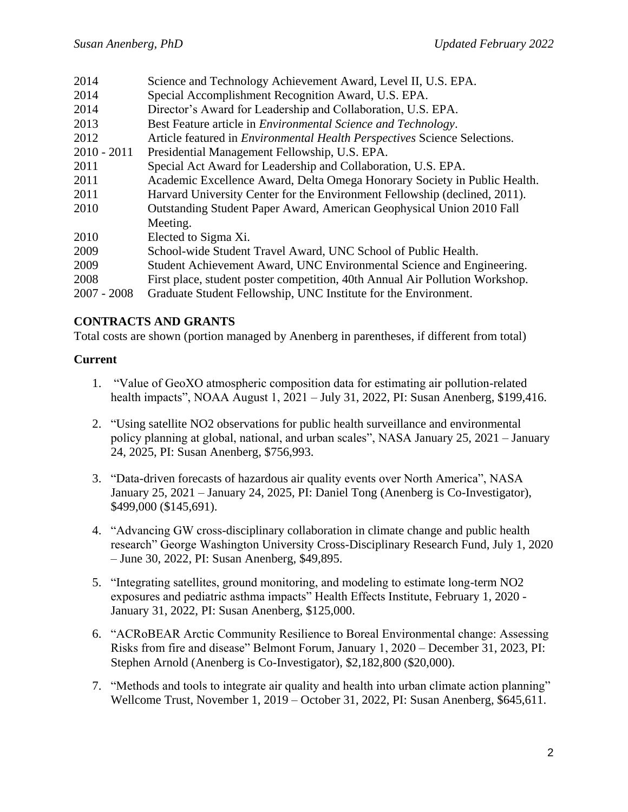| 2014          | Science and Technology Achievement Award, Level II, U.S. EPA.                    |
|---------------|----------------------------------------------------------------------------------|
| 2014          | Special Accomplishment Recognition Award, U.S. EPA.                              |
| 2014          | Director's Award for Leadership and Collaboration, U.S. EPA.                     |
| 2013          | Best Feature article in <i>Environmental Science and Technology</i> .            |
| 2012          | Article featured in <i>Environmental Health Perspectives</i> Science Selections. |
| $2010 - 2011$ | Presidential Management Fellowship, U.S. EPA.                                    |
| 2011          | Special Act Award for Leadership and Collaboration, U.S. EPA.                    |
| 2011          | Academic Excellence Award, Delta Omega Honorary Society in Public Health.        |
| 2011          | Harvard University Center for the Environment Fellowship (declined, 2011).       |
| 2010          | Outstanding Student Paper Award, American Geophysical Union 2010 Fall            |
|               | Meeting.                                                                         |
| 2010          | Elected to Sigma Xi.                                                             |
| 2009          | School-wide Student Travel Award, UNC School of Public Health.                   |
| 2009          | Student Achievement Award, UNC Environmental Science and Engineering.            |
| 2008          | First place, student poster competition, 40th Annual Air Pollution Workshop.     |
| $2007 - 2008$ | Graduate Student Fellowship, UNC Institute for the Environment.                  |
|               |                                                                                  |

#### **CONTRACTS AND GRANTS**

Total costs are shown (portion managed by Anenberg in parentheses, if different from total)

#### **Current**

- 1. "Value of GeoXO atmospheric composition data for estimating air pollution-related health impacts", NOAA August 1, 2021 – July 31, 2022, PI: Susan Anenberg, \$199,416.
- 2. "Using satellite NO2 observations for public health surveillance and environmental policy planning at global, national, and urban scales", NASA January 25, 2021 – January 24, 2025, PI: Susan Anenberg, \$756,993.
- 3. "Data-driven forecasts of hazardous air quality events over North America", NASA January 25, 2021 – January 24, 2025, PI: Daniel Tong (Anenberg is Co-Investigator), \$499,000 (\$145,691).
- 4. "Advancing GW cross-disciplinary collaboration in climate change and public health research" George Washington University Cross-Disciplinary Research Fund, July 1, 2020 – June 30, 2022, PI: Susan Anenberg, \$49,895.
- 5. "Integrating satellites, ground monitoring, and modeling to estimate long-term NO2 exposures and pediatric asthma impacts" Health Effects Institute, February 1, 2020 - January 31, 2022, PI: Susan Anenberg, \$125,000.
- 6. "ACRoBEAR Arctic Community Resilience to Boreal Environmental change: Assessing Risks from fire and disease" Belmont Forum, January 1, 2020 – December 31, 2023, PI: Stephen Arnold (Anenberg is Co-Investigator), \$2,182,800 (\$20,000).
- 7. "Methods and tools to integrate air quality and health into urban climate action planning" Wellcome Trust, November 1, 2019 – October 31, 2022, PI: Susan Anenberg, \$645,611.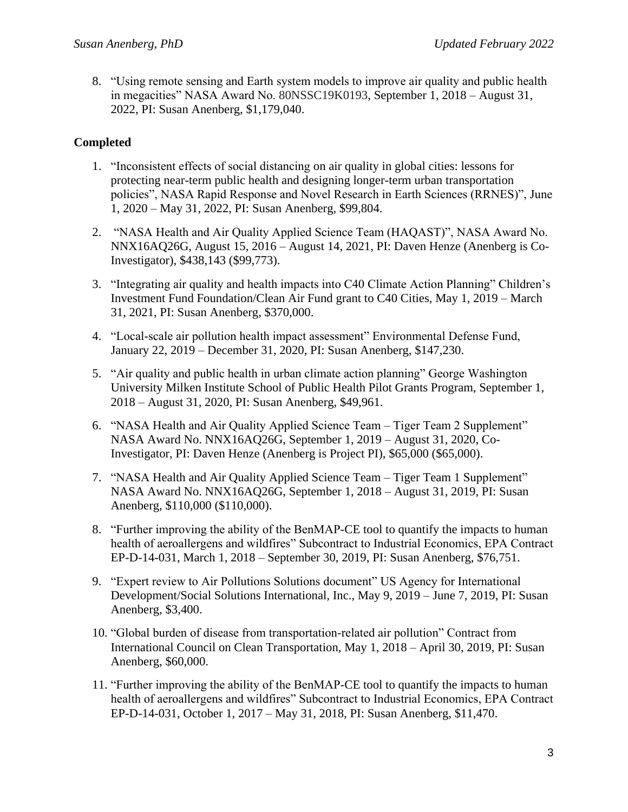8. "Using remote sensing and Earth system models to improve air quality and public health in megacities" NASA Award No. 80NSSC19K0193, September 1, 2018 – August 31, 2022, PI: Susan Anenberg, \$1,179,040.

## **Completed**

- 1. "Inconsistent effects of social distancing on air quality in global cities: lessons for protecting near-term public health and designing longer-term urban transportation policies", NASA Rapid Response and Novel Research in Earth Sciences (RRNES)", June 1, 2020 – May 31, 2022, PI: Susan Anenberg, \$99,804.
- 2. "NASA Health and Air Quality Applied Science Team (HAQAST)", NASA Award No. NNX16AQ26G, August 15, 2016 – August 14, 2021, PI: Daven Henze (Anenberg is Co-Investigator), \$438,143 (\$99,773).
- 3. "Integrating air quality and health impacts into C40 Climate Action Planning" Children's Investment Fund Foundation/Clean Air Fund grant to C40 Cities, May 1, 2019 – March 31, 2021, PI: Susan Anenberg, \$370,000.
- 4. "Local-scale air pollution health impact assessment" Environmental Defense Fund, January 22, 2019 – December 31, 2020, PI: Susan Anenberg, \$147,230.
- 5. "Air quality and public health in urban climate action planning" George Washington University Milken Institute School of Public Health Pilot Grants Program, September 1, 2018 – August 31, 2020, PI: Susan Anenberg, \$49,961.
- 6. "NASA Health and Air Quality Applied Science Team Tiger Team 2 Supplement" NASA Award No. NNX16AQ26G, September 1, 2019 – August 31, 2020, Co-Investigator, PI: Daven Henze (Anenberg is Project PI), \$65,000 (\$65,000).
- 7. "NASA Health and Air Quality Applied Science Team Tiger Team 1 Supplement" NASA Award No. NNX16AQ26G, September 1, 2018 – August 31, 2019, PI: Susan Anenberg, \$110,000 (\$110,000).
- 8. "Further improving the ability of the BenMAP-CE tool to quantify the impacts to human health of aeroallergens and wildfires" Subcontract to Industrial Economics, EPA Contract EP-D-14-031, March 1, 2018 – September 30, 2019, PI: Susan Anenberg, \$76,751.
- 9. "Expert review to Air Pollutions Solutions document" US Agency for International Development/Social Solutions International, Inc., May 9, 2019 – June 7, 2019, PI: Susan Anenberg, \$3,400.
- 10. "Global burden of disease from transportation-related air pollution" Contract from International Council on Clean Transportation, May 1, 2018 – April 30, 2019, PI: Susan Anenberg, \$60,000.
- 11. "Further improving the ability of the BenMAP-CE tool to quantify the impacts to human health of aeroallergens and wildfires" Subcontract to Industrial Economics, EPA Contract EP-D-14-031, October 1, 2017 – May 31, 2018, PI: Susan Anenberg, \$11,470.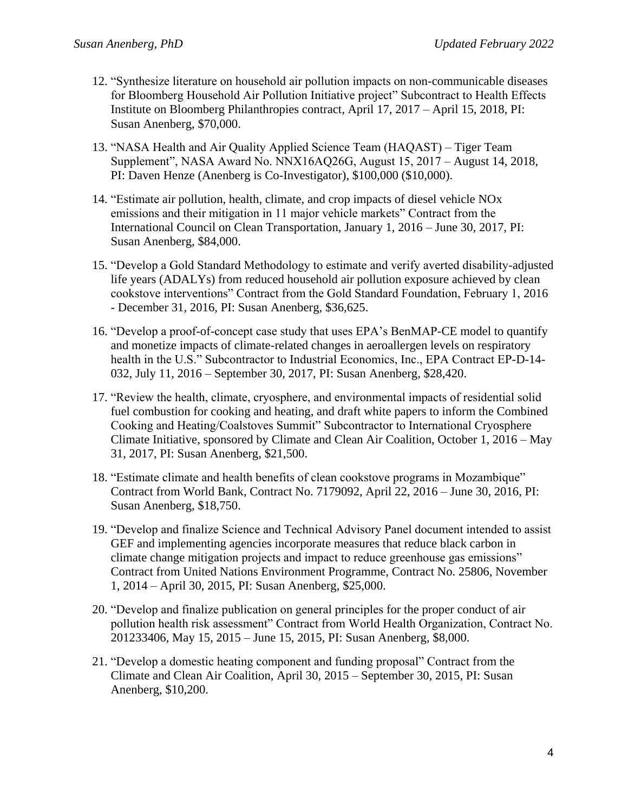- 12. "Synthesize literature on household air pollution impacts on non-communicable diseases for Bloomberg Household Air Pollution Initiative project" Subcontract to Health Effects Institute on Bloomberg Philanthropies contract, April 17, 2017 – April 15, 2018, PI: Susan Anenberg, \$70,000.
- 13. "NASA Health and Air Quality Applied Science Team (HAQAST) Tiger Team Supplement", NASA Award No. NNX16AQ26G, August 15, 2017 – August 14, 2018, PI: Daven Henze (Anenberg is Co-Investigator), \$100,000 (\$10,000).
- 14. "Estimate air pollution, health, climate, and crop impacts of diesel vehicle NOx emissions and their mitigation in 11 major vehicle markets" Contract from the International Council on Clean Transportation, January 1, 2016 – June 30, 2017, PI: Susan Anenberg, \$84,000.
- 15. "Develop a Gold Standard Methodology to estimate and verify averted disability-adjusted life years (ADALYs) from reduced household air pollution exposure achieved by clean cookstove interventions" Contract from the Gold Standard Foundation, February 1, 2016 - December 31, 2016, PI: Susan Anenberg, \$36,625.
- 16. "Develop a proof-of-concept case study that uses EPA's BenMAP-CE model to quantify and monetize impacts of climate-related changes in aeroallergen levels on respiratory health in the U.S." Subcontractor to Industrial Economics, Inc., EPA Contract EP-D-14- 032, July 11, 2016 – September 30, 2017, PI: Susan Anenberg, \$28,420.
- 17. "Review the health, climate, cryosphere, and environmental impacts of residential solid fuel combustion for cooking and heating, and draft white papers to inform the Combined Cooking and Heating/Coalstoves Summit" Subcontractor to International Cryosphere Climate Initiative, sponsored by Climate and Clean Air Coalition, October 1, 2016 – May 31, 2017, PI: Susan Anenberg, \$21,500.
- 18. "Estimate climate and health benefits of clean cookstove programs in Mozambique" Contract from World Bank, Contract No. 7179092, April 22, 2016 – June 30, 2016, PI: Susan Anenberg, \$18,750.
- 19. "Develop and finalize Science and Technical Advisory Panel document intended to assist GEF and implementing agencies incorporate measures that reduce black carbon in climate change mitigation projects and impact to reduce greenhouse gas emissions" Contract from United Nations Environment Programme, Contract No. 25806, November 1, 2014 – April 30, 2015, PI: Susan Anenberg, \$25,000.
- 20. "Develop and finalize publication on general principles for the proper conduct of air pollution health risk assessment" Contract from World Health Organization, Contract No. 201233406, May 15, 2015 – June 15, 2015, PI: Susan Anenberg, \$8,000.
- 21. "Develop a domestic heating component and funding proposal" Contract from the Climate and Clean Air Coalition, April 30, 2015 – September 30, 2015, PI: Susan Anenberg, \$10,200.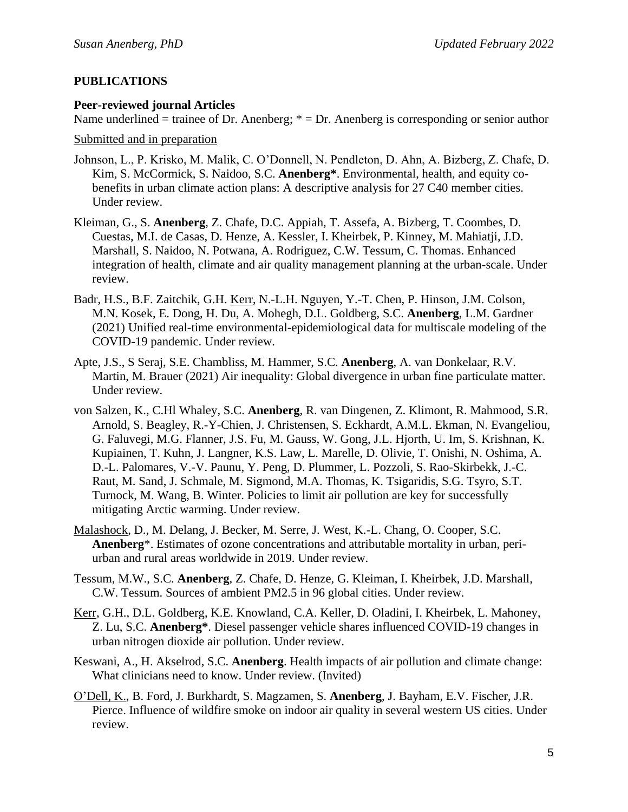## **PUBLICATIONS**

#### **Peer-reviewed journal Articles**

Name underlined = trainee of Dr. Anenberg;  $* = Dr$ . Anenberg is corresponding or senior author

Submitted and in preparation

- Johnson, L., P. Krisko, M. Malik, C. O'Donnell, N. Pendleton, D. Ahn, A. Bizberg, Z. Chafe, D. Kim, S. McCormick, S. Naidoo, S.C. **Anenberg\***. Environmental, health, and equity cobenefits in urban climate action plans: A descriptive analysis for 27 C40 member cities. Under review.
- Kleiman, G., S. **Anenberg**, Z. Chafe, D.C. Appiah, T. Assefa, A. Bizberg, T. Coombes, D. Cuestas, M.I. de Casas, D. Henze, A. Kessler, I. Kheirbek, P. Kinney, M. Mahiatji, J.D. Marshall, S. Naidoo, N. Potwana, A. Rodriguez, C.W. Tessum, C. Thomas. Enhanced integration of health, climate and air quality management planning at the urban-scale. Under review.
- Badr, H.S., B.F. Zaitchik, G.H. Kerr, N.-L.H. Nguyen, Y.-T. Chen, P. Hinson, J.M. Colson, M.N. Kosek, E. Dong, H. Du, A. Mohegh, D.L. Goldberg, S.C. **Anenberg**, L.M. Gardner (2021) Unified real-time environmental-epidemiological data for multiscale modeling of the COVID-19 pandemic. Under review.
- Apte, J.S., S Seraj, S.E. Chambliss, M. Hammer, S.C. **Anenberg**, A. van Donkelaar, R.V. Martin, M. Brauer (2021) Air inequality: Global divergence in urban fine particulate matter. Under review.
- von Salzen, K., C.Hl Whaley, S.C. **Anenberg**, R. van Dingenen, Z. Klimont, R. Mahmood, S.R. Arnold, S. Beagley, R.-Y-Chien, J. Christensen, S. Eckhardt, A.M.L. Ekman, N. Evangeliou, G. Faluvegi, M.G. Flanner, J.S. Fu, M. Gauss, W. Gong, J.L. Hjorth, U. Im, S. Krishnan, K. Kupiainen, T. Kuhn, J. Langner, K.S. Law, L. Marelle, D. Olivie, T. Onishi, N. Oshima, A. D.-L. Palomares, V.-V. Paunu, Y. Peng, D. Plummer, L. Pozzoli, S. Rao-Skirbekk, J.-C. Raut, M. Sand, J. Schmale, M. Sigmond, M.A. Thomas, K. Tsigaridis, S.G. Tsyro, S.T. Turnock, M. Wang, B. Winter. Policies to limit air pollution are key for successfully mitigating Arctic warming. Under review.
- Malashock, D., M. Delang, J. Becker, M. Serre, J. West, K.-L. Chang, O. Cooper, S.C. **Anenberg**\*. Estimates of ozone concentrations and attributable mortality in urban, periurban and rural areas worldwide in 2019. Under review.
- Tessum, M.W., S.C. **Anenberg**, Z. Chafe, D. Henze, G. Kleiman, I. Kheirbek, J.D. Marshall, C.W. Tessum. Sources of ambient PM2.5 in 96 global cities. Under review.
- Kerr, G.H., D.L. Goldberg, K.E. Knowland, C.A. Keller, D. Oladini, I. Kheirbek, L. Mahoney, Z. Lu, S.C. **Anenberg\***. Diesel passenger vehicle shares influenced COVID-19 changes in urban nitrogen dioxide air pollution. Under review.
- Keswani, A., H. Akselrod, S.C. **Anenberg**. Health impacts of air pollution and climate change: What clinicians need to know. Under review. (Invited)
- O'Dell, K., B. Ford, J. Burkhardt, S. Magzamen, S. **Anenberg**, J. Bayham, E.V. Fischer, J.R. Pierce. Influence of wildfire smoke on indoor air quality in several western US cities. Under review.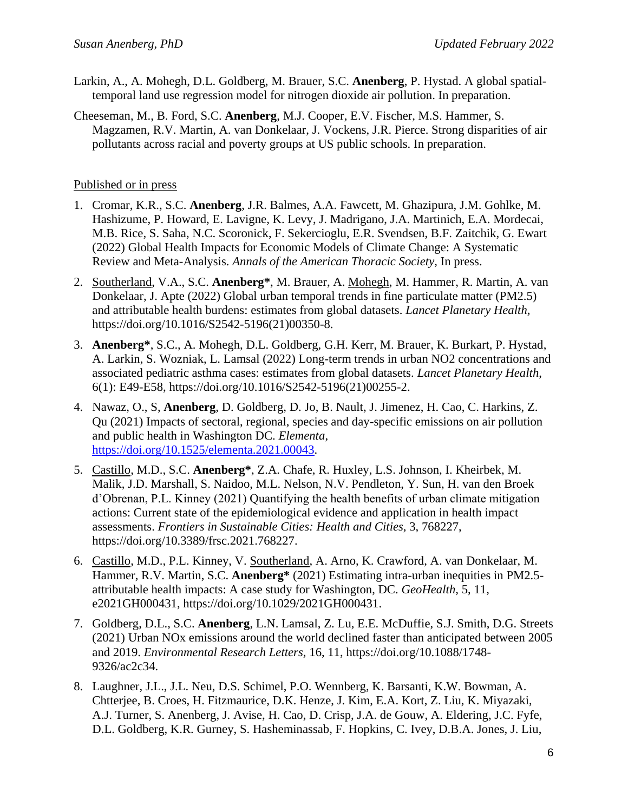- Larkin, A., A. Mohegh, D.L. Goldberg, M. Brauer, S.C. **Anenberg**, P. Hystad. A global spatialtemporal land use regression model for nitrogen dioxide air pollution. In preparation.
- Cheeseman, M., B. Ford, S.C. **Anenberg**, M.J. Cooper, E.V. Fischer, M.S. Hammer, S. Magzamen, R.V. Martin, A. van Donkelaar, J. Vockens, J.R. Pierce. Strong disparities of air pollutants across racial and poverty groups at US public schools. In preparation.

### Published or in press

- 1. Cromar, K.R., S.C. **Anenberg**, J.R. Balmes, A.A. Fawcett, M. Ghazipura, J.M. Gohlke, M. Hashizume, P. Howard, E. Lavigne, K. Levy, J. Madrigano, J.A. Martinich, E.A. Mordecai, M.B. Rice, S. Saha, N.C. Scoronick, F. Sekercioglu, E.R. Svendsen, B.F. Zaitchik, G. Ewart (2022) Global Health Impacts for Economic Models of Climate Change: A Systematic Review and Meta-Analysis. *Annals of the American Thoracic Society,* In press.
- 2. Southerland, V.A., S.C. **Anenberg\***, M. Brauer, A. Mohegh, M. Hammer, R. Martin, A. van Donkelaar, J. Apte (2022) Global urban temporal trends in fine particulate matter (PM2.5) and attributable health burdens: estimates from global datasets. *Lancet Planetary Health,*  https://doi.org/10.1016/S2542-5196(21)00350-8.
- 3. **Anenberg\***, S.C., A. Mohegh, D.L. Goldberg, G.H. Kerr, M. Brauer, K. Burkart, P. Hystad, A. Larkin, S. Wozniak, L. Lamsal (2022) Long-term trends in urban NO2 concentrations and associated pediatric asthma cases: estimates from global datasets. *Lancet Planetary Health*, 6(1): E49-E58, https://doi.org/10.1016/S2542-5196(21)00255-2.
- 4. Nawaz, O., S, **Anenberg**, D. Goldberg, D. Jo, B. Nault, J. Jimenez, H. Cao, C. Harkins, Z. Qu (2021) Impacts of sectoral, regional, species and day-specific emissions on air pollution and public health in Washington DC. *Elementa*, [https://doi.org/10.1525/elementa.2021.00043.](https://doi.org/10.1525/elementa.2021.00043)
- 5. Castillo, M.D., S.C. **Anenberg\***, Z.A. Chafe, R. Huxley, L.S. Johnson, I. Kheirbek, M. Malik, J.D. Marshall, S. Naidoo, M.L. Nelson, N.V. Pendleton, Y. Sun, H. van den Broek d'Obrenan, P.L. Kinney (2021) Quantifying the health benefits of urban climate mitigation actions: Current state of the epidemiological evidence and application in health impact assessments. *Frontiers in Sustainable Cities: Health and Cities*, 3, 768227, [https://doi.org/10.3389/frsc.2021.768227.](https://doi.org/10.3389/frsc.2021.768227)
- 6. Castillo, M.D., P.L. Kinney, V. Southerland, A. Arno, K. Crawford, A. van Donkelaar, M. Hammer, R.V. Martin, S.C. **Anenberg\*** (2021) Estimating intra-urban inequities in PM2.5 attributable health impacts: A case study for Washington, DC. *GeoHealth*, 5, 11, e2021GH000431, [https://doi.org/10.1029/2021GH000431.](https://doi.org/10.1029/2021GH000431)
- 7. Goldberg, D.L., S.C. **Anenberg**, L.N. Lamsal, Z. Lu, E.E. McDuffie, S.J. Smith, D.G. Streets (2021) Urban NOx emissions around the world declined faster than anticipated between 2005 and 2019. *Environmental Research Letters,* 16, 11, [https://doi.org/10.1088/1748-](https://doi.org/10.1088/1748-9326/ac2c34) [9326/ac2c34.](https://doi.org/10.1088/1748-9326/ac2c34)
- 8. Laughner, J.L., J.L. Neu, D.S. Schimel, P.O. Wennberg, K. Barsanti, K.W. Bowman, A. Chtterjee, B. Croes, H. Fitzmaurice, D.K. Henze, J. Kim, E.A. Kort, Z. Liu, K. Miyazaki, A.J. Turner, S. Anenberg, J. Avise, H. Cao, D. Crisp, J.A. de Gouw, A. Eldering, J.C. Fyfe, D.L. Goldberg, K.R. Gurney, S. Hasheminassab, F. Hopkins, C. Ivey, D.B.A. Jones, J. Liu,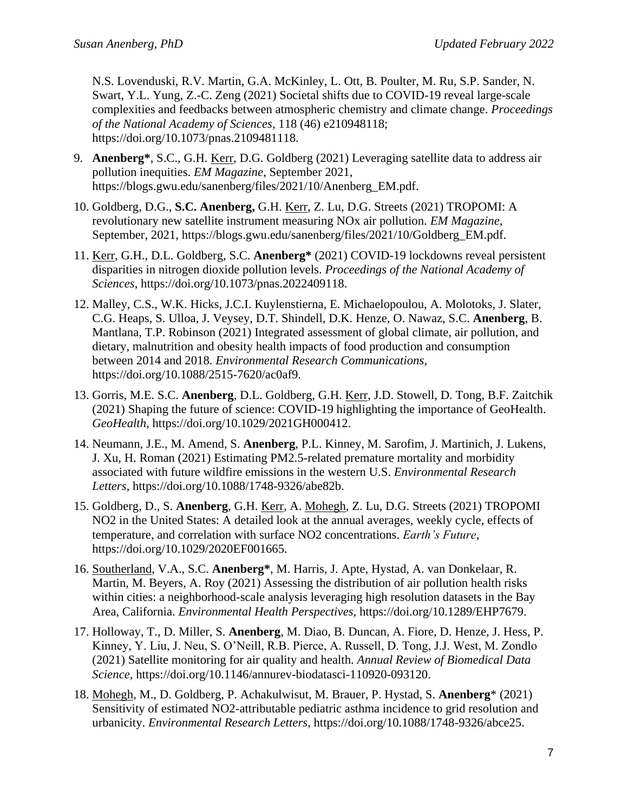N.S. Lovenduski, R.V. Martin, G.A. McKinley, L. Ott, B. Poulter, M. Ru, S.P. Sander, N. Swart, Y.L. Yung, Z.-C. Zeng (2021) Societal shifts due to COVID-19 reveal large-scale complexities and feedbacks between atmospheric chemistry and climate change. *Proceedings of the National Academy of Sciences*, 118 (46) e210948118; [https://doi.org/10.1073/pnas.2109481118.](https://doi.org/10.1073/pnas.2109481118)

- 9. **Anenberg\***, S.C., G.H. Kerr, D.G. Goldberg (2021) Leveraging satellite data to address air pollution inequities. *EM Magazine*, September 2021, https://blogs.gwu.edu/sanenberg/files/2021/10/Anenberg\_EM.pdf.
- 10. Goldberg, D.G., **S.C. Anenberg,** G.H. Kerr, Z. Lu, D.G. Streets (2021) TROPOMI: A revolutionary new satellite instrument measuring NOx air pollution. *EM Magazine*, September, 2021, https://blogs.gwu.edu/sanenberg/files/2021/10/Goldberg\_EM.pdf.
- 11. Kerr, G.H., D.L. Goldberg, S.C. **Anenberg\*** (2021) COVID-19 lockdowns reveal persistent disparities in nitrogen dioxide pollution levels. *Proceedings of the National Academy of Sciences*, [https://doi.org/10.1073/pnas.2022409118.](https://doi.org/10.1073/pnas.2022409118)
- 12. Malley, C.S., W.K. Hicks, J.C.I. Kuylenstierna, E. Michaelopoulou, A. Molotoks, J. Slater, C.G. Heaps, S. Ulloa, J. Veysey, D.T. Shindell, D.K. Henze, O. Nawaz, S.C. **Anenberg**, B. Mantlana, T.P. Robinson (2021) Integrated assessment of global climate, air pollution, and dietary, malnutrition and obesity health impacts of food production and consumption between 2014 and 2018. *Environmental Research Communications*, [https://doi.org/10.1088/2515-7620/ac0af9.](https://doi.org/10.1088/2515-7620/ac0af9)
- 13. Gorris, M.E. S.C. **Anenberg**, D.L. Goldberg, G.H. Kerr, J.D. Stowell, D. Tong, B.F. Zaitchik (2021) Shaping the future of science: COVID-19 highlighting the importance of GeoHealth. *GeoHealth*, [https://doi.org/10.1029/2021GH000412.](https://doi.org/10.1029/2021GH000412)
- 14. Neumann, J.E., M. Amend, S. **Anenberg**, P.L. Kinney, M. Sarofim, J. Martinich, J. Lukens, J. Xu, H. Roman (2021) [Estimating PM2.5-related premature mortality and morbidity](https://iopscience.iop.org/article/10.1088/1748-9326/abe82b/meta)  [associated with future wildfire emissions in the western U.S.](https://iopscience.iop.org/article/10.1088/1748-9326/abe82b/meta) *Environmental Research Letters*, https://doi.org/10.1088/1748-9326/abe82b.
- 15. Goldberg, D., S. **Anenberg**, G.H. Kerr, A. Mohegh, Z. Lu, D.G. Streets (2021) [TROPOMI](https://agupubs.onlinelibrary.wiley.com/doi/abs/10.1029/2020EF001665)  [NO2 in the United States: A detailed look at the annual averages, weekly cycle, effects of](https://agupubs.onlinelibrary.wiley.com/doi/abs/10.1029/2020EF001665)  [temperature, and correlation with surface NO2 concentrations.](https://agupubs.onlinelibrary.wiley.com/doi/abs/10.1029/2020EF001665) *Earth's Future*, https://doi.org/10.1029/2020EF001665.
- 16. Southerland, V.A., S.C. **Anenberg\***, M. Harris, J. Apte, Hystad, A. van Donkelaar, R. Martin, M. Beyers, A. Roy (2021) Assessing the distribution of air pollution health risks within cities: a neighborhood-scale analysis leveraging high resolution datasets in the Bay Area, California. *Environmental Health Perspectives*, [https://doi.org/10.1289/EHP7679.](https://doi.org/10.1289/EHP7679)
- 17. Holloway, T., D. Miller, S. **Anenberg**, M. Diao, B. Duncan, A. Fiore, D. Henze, J. Hess, P. Kinney, Y. Liu, J. Neu, S. O'Neill, R.B. Pierce, A. Russell, D. Tong, J.J. West, M. Zondlo (2021) Satellite monitoring for air quality and health. *Annual Review of Biomedical Data Science,* [https://doi.org/10.1146/annurev-biodatasci-110920-093120.](https://doi.org/10.1146/annurev-biodatasci-110920-093120)
- 18. Mohegh, M., D. Goldberg, P. Achakulwisut, M. Brauer, P. Hystad, S. **Anenberg**\* (2021) Sensitivity of estimated NO2-attributable pediatric asthma incidence to grid resolution and urbanicity. *Environmental Research Letters*, [https://doi.org/10.1088/1748-9326/abce25.](https://doi.org/10.1088/1748-9326/abce25)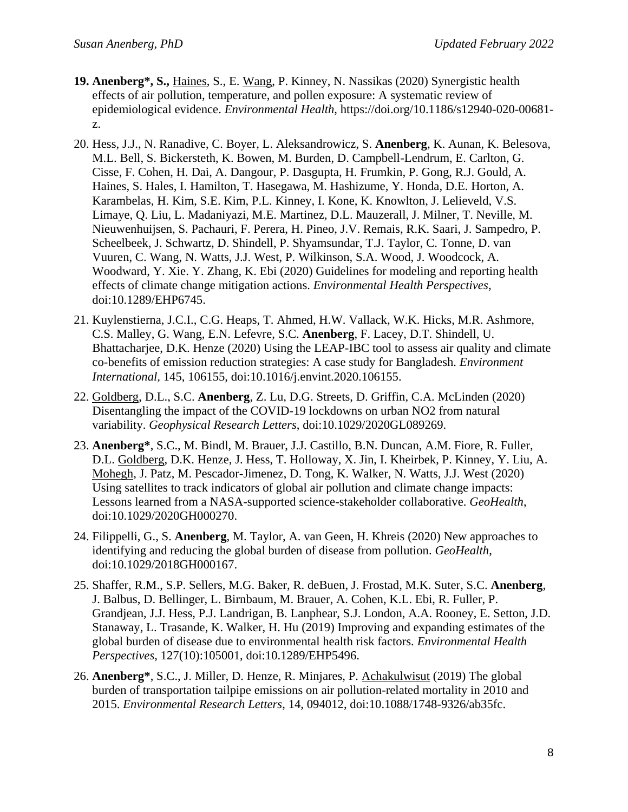- **19. Anenberg\*, S.,** Haines, S., E. Wang, P. Kinney, N. Nassikas (2020) Synergistic health effects of air pollution, temperature, and pollen exposure: A systematic review of epidemiological evidence. *Environmental Health*, [https://doi.org/10.1186/s12940-020-00681](https://doi.org/10.1186/s12940-020-00681-z) [z.](https://doi.org/10.1186/s12940-020-00681-z)
- 20. Hess, J.J., N. Ranadive, C. Boyer, L. Aleksandrowicz, S. **Anenberg**, K. Aunan, K. Belesova, M.L. Bell, S. Bickersteth, K. Bowen, M. Burden, D. Campbell-Lendrum, E. Carlton, G. Cisse, F. Cohen, H. Dai, A. Dangour, P. Dasgupta, H. Frumkin, P. Gong, R.J. Gould, A. Haines, S. Hales, I. Hamilton, T. Hasegawa, M. Hashizume, Y. Honda, D.E. Horton, A. Karambelas, H. Kim, S.E. Kim, P.L. Kinney, I. Kone, K. Knowlton, J. Lelieveld, V.S. Limaye, Q. Liu, L. Madaniyazi, M.E. Martinez, D.L. Mauzerall, J. Milner, T. Neville, M. Nieuwenhuijsen, S. Pachauri, F. Perera, H. Pineo, J.V. Remais, R.K. Saari, J. Sampedro, P. Scheelbeek, J. Schwartz, D. Shindell, P. Shyamsundar, T.J. Taylor, C. Tonne, D. van Vuuren, C. Wang, N. Watts, J.J. West, P. Wilkinson, S.A. Wood, J. Woodcock, A. Woodward, Y. Xie. Y. Zhang, K. Ebi (2020) Guidelines for modeling and reporting health effects of climate change mitigation actions. *Environmental Health Perspectives*, doi:10.1289/EHP6745.
- 21. Kuylenstierna, J.C.I., C.G. Heaps, T. Ahmed, H.W. Vallack, W.K. Hicks, M.R. Ashmore, C.S. Malley, G. Wang, E.N. Lefevre, S.C. **Anenberg**, F. Lacey, D.T. Shindell, U. Bhattacharjee, D.K. Henze (2020) Using the LEAP-IBC tool to assess air quality and climate co-benefits of emission reduction strategies: A case study for Bangladesh. *Environment International,* 145, 106155, doi:10.1016/j.envint.2020.106155.
- 22. Goldberg, D.L., S.C. **Anenberg**, Z. Lu, D.G. Streets, D. Griffin, C.A. McLinden (2020) Disentangling the impact of the COVID-19 lockdowns on urban NO2 from natural variability. *Geophysical Research Letters*, doi:10.1029/2020GL089269.
- 23. **Anenberg\***, S.C., M. Bindl, M. Brauer, J.J. Castillo, B.N. Duncan, A.M. Fiore, R. Fuller, D.L. Goldberg, D.K. Henze, J. Hess, T. Holloway, X. Jin, I. Kheirbek, P. Kinney, Y. Liu, A. Mohegh, J. Patz, M. Pescador-Jimenez, D. Tong, K. Walker, N. Watts, J.J. West (2020) Using satellites to track indicators of global air pollution and climate change impacts: Lessons learned from a NASA-supported science-stakeholder collaborative. *GeoHealth*, doi:10.1029/2020GH000270.
- 24. Filippelli, G., S. **Anenberg**, M. Taylor, A. van Geen, H. Khreis (2020) New approaches to identifying and reducing the global burden of disease from pollution. *GeoHealth*, doi:10.1029/2018GH000167.
- 25. Shaffer, R.M., S.P. Sellers, M.G. Baker, R. deBuen, J. Frostad, M.K. Suter, S.C. **Anenberg**, J. Balbus, D. Bellinger, L. Birnbaum, M. Brauer, A. Cohen, K.L. Ebi, R. Fuller, P. Grandjean, J.J. Hess, P.J. Landrigan, B. Lanphear, S.J. London, A.A. Rooney, E. Setton, J.D. Stanaway, L. Trasande, K. Walker, H. Hu (2019) Improving and expanding estimates of the global burden of disease due to environmental health risk factors. *Environmental Health Perspectives*, 127(10):105001, doi:10.1289/EHP5496.
- 26. **Anenberg\***, S.C., J. Miller, D. Henze, R. Minjares, P. Achakulwisut (2019) The global burden of transportation tailpipe emissions on air pollution-related mortality in 2010 and 2015. *Environmental Research Letters*, 14, 094012, doi:10.1088/1748-9326/ab35fc.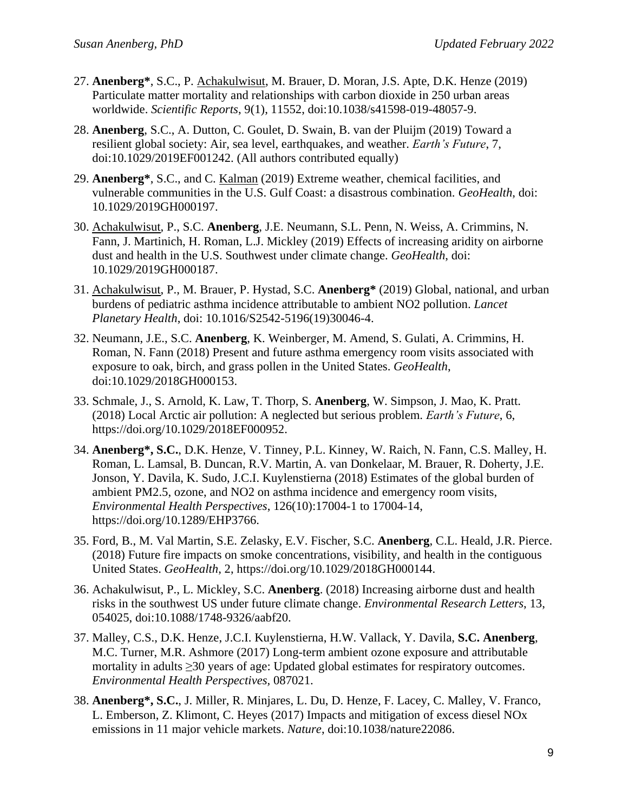- 27. **Anenberg\***, S.C., P. Achakulwisut, M. Brauer, D. Moran, J.S. Apte, D.K. Henze (2019) Particulate matter mortality and relationships with carbon dioxide in 250 urban areas worldwide. *Scientific Reports*, 9(1), 11552, doi:10.1038/s41598-019-48057-9.
- 28. **Anenberg**, S.C., A. Dutton, C. Goulet, D. Swain, B. van der Pluijm (2019) Toward a resilient global society: Air, sea level, earthquakes, and weather. *Earth's Future*, 7, doi:10.1029/2019EF001242. (All authors contributed equally)
- 29. **Anenberg\***, S.C., and C. Kalman (2019) Extreme weather, chemical facilities, and vulnerable communities in the U.S. Gulf Coast: a disastrous combination. *GeoHealth*, doi: [10.1029/2019GH000197.](https://doi.org/10.1029/2019GH000197)
- 30. Achakulwisut, P., S.C. **Anenberg**, J.E. Neumann, S.L. Penn, N. Weiss, A. Crimmins, N. Fann, J. Martinich, H. Roman, L.J. Mickley (2019) Effects of increasing aridity on airborne dust and health in the U.S. Southwest under climate change. *GeoHealth*, doi: 10.1029/2019GH000187.
- 31. Achakulwisut, P., M. Brauer, P. Hystad, S.C. **Anenberg\*** (2019) Global, national, and urban burdens of pediatric asthma incidence attributable to ambient NO2 pollution. *Lancet Planetary Health*, doi: 10.1016/S2542-5196(19)30046-4.
- 32. Neumann, J.E., S.C. **Anenberg**, K. Weinberger, M. Amend, S. Gulati, A. Crimmins, H. Roman, N. Fann (2018) Present and future asthma emergency room visits associated with exposure to oak, birch, and grass pollen in the United States. *GeoHealth*, doi:10.1029/2018GH000153.
- 33. Schmale, J., S. Arnold, K. Law, T. Thorp, S. **Anenberg**, W. Simpson, J. Mao, K. Pratt. (2018) Local Arctic air pollution: A neglected but serious problem. *Earth's Future*, 6, https://doi.org/10.1029/2018EF000952.
- 34. **Anenberg\*, S.C.**, D.K. Henze, V. Tinney, P.L. Kinney, W. Raich, N. Fann, C.S. Malley, H. Roman, L. Lamsal, B. Duncan, R.V. Martin, A. van Donkelaar, M. Brauer, R. Doherty, J.E. Jonson, Y. Davila, K. Sudo, J.C.I. Kuylenstierna (2018) Estimates of the global burden of ambient PM2.5, ozone, and NO2 on asthma incidence and emergency room visits, *Environmental Health Perspectives*, 126(10):17004-1 to 17004-14, [https://doi.org/10.1289/EHP3766.](https://doi.org/10.1289/EHP3766)
- 35. Ford, B., M. Val Martin, S.E. Zelasky, E.V. Fischer, S.C. **Anenberg**, C.L. Heald, J.R. Pierce. (2018) Future fire impacts on smoke concentrations, visibility, and health in the contiguous United States. *GeoHealth*, 2, [https://doi.org/10.1029/2018GH000144.](https://doi.org/10.1029/2018GH000144)
- 36. Achakulwisut, P., L. Mickley, S.C. **Anenberg**. (2018) Increasing airborne dust and health risks in the southwest US under future climate change. *Environmental Research Letters*, 13, 054025, doi:10.1088/1748-9326/aabf20.
- 37. Malley, C.S., D.K. Henze, J.C.I. Kuylenstierna, H.W. Vallack, Y. Davila, **S.C. Anenberg**, M.C. Turner, M.R. Ashmore (2017) Long-term ambient ozone exposure and attributable mortality in adults ≥30 years of age: Updated global estimates for respiratory outcomes. *Environmental Health Perspectives,* 087021.
- 38. **Anenberg\*, S.C.**, J. Miller, R. Minjares, L. Du, D. Henze, F. Lacey, C. Malley, V. Franco, L. Emberson, Z. Klimont, C. Heyes (2017) Impacts and mitigation of excess diesel NOx emissions in 11 major vehicle markets. *Nature*, doi:10.1038/nature22086.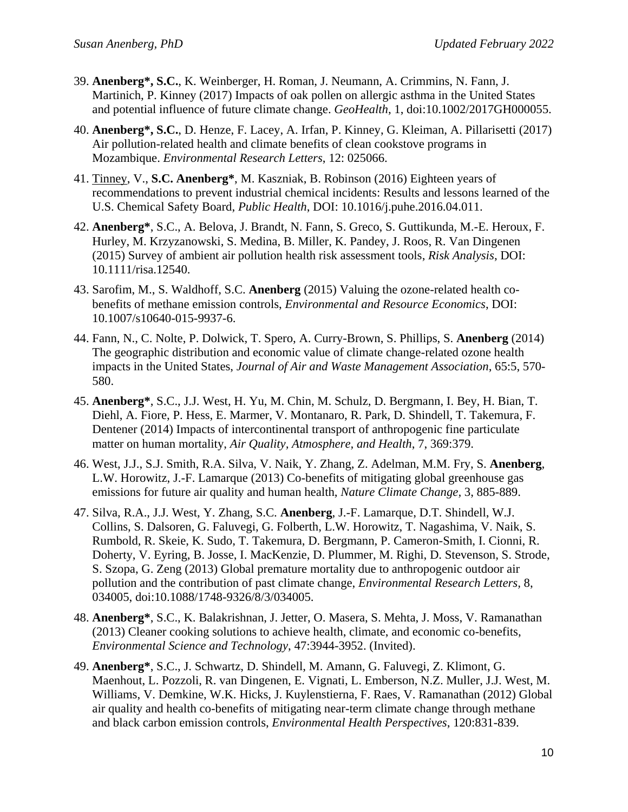- 39. **Anenberg\*, S.C.**, K. Weinberger, H. Roman, J. Neumann, A. Crimmins, N. Fann, J. Martinich, P. Kinney (2017) Impacts of oak pollen on allergic asthma in the United States and potential influence of future climate change. *GeoHealth*, 1, doi:10.1002/2017GH000055.
- 40. **Anenberg\*, S.C.**, D. Henze, F. Lacey, A. Irfan, P. Kinney, G. Kleiman, A. Pillarisetti (2017) Air pollution-related health and climate benefits of clean cookstove programs in Mozambique. *Environmental Research Letters*, 12: 025066.
- 41. Tinney, V., **S.C. Anenberg\***, M. Kaszniak, B. Robinson (2016) Eighteen years of recommendations to prevent industrial chemical incidents: Results and lessons learned of the U.S. Chemical Safety Board, *Public Health*, DOI: 10.1016/j.puhe.2016.04.011.
- 42. **Anenberg\***, S.C., A. Belova, J. Brandt, N. Fann, S. Greco, S. Guttikunda, M.-E. Heroux, F. Hurley, M. Krzyzanowski, S. Medina, B. Miller, K. Pandey, J. Roos, R. Van Dingenen (2015) Survey of ambient air pollution health risk assessment tools, *Risk Analysis*, DOI: 10.1111/risa.12540.
- 43. Sarofim, M., S. Waldhoff, S.C. **Anenberg** (2015) Valuing the ozone-related health cobenefits of methane emission controls, *Environmental and Resource Economics*, DOI: 10.1007/s10640-015-9937-6.
- 44. Fann, N., C. Nolte, P. Dolwick, T. Spero, A. Curry-Brown, S. Phillips, S. **Anenberg** (2014) The geographic distribution and economic value of climate change-related ozone health impacts in the United States, *Journal of Air and Waste Management Association*, 65:5, 570- 580.
- 45. **Anenberg\***, S.C., J.J. West, H. Yu, M. Chin, M. Schulz, D. Bergmann, I. Bey, H. Bian, T. Diehl, A. Fiore, P. Hess, E. Marmer, V. Montanaro, R. Park, D. Shindell, T. Takemura, F. Dentener (2014) Impacts of intercontinental transport of anthropogenic fine particulate matter on human mortality, *Air Quality, Atmosphere, and Health*, 7, 369:379.
- 46. West, J.J., S.J. Smith, R.A. Silva, V. Naik, Y. Zhang, Z. Adelman, M.M. Fry, S. **Anenberg**, L.W. Horowitz, J.-F. Lamarque (2013) Co-benefits of mitigating global greenhouse gas emissions for future air quality and human health, *Nature Climate Change,* 3, 885-889.
- 47. Silva, R.A., J.J. West, Y. Zhang, S.C. **Anenberg**, J.-F. Lamarque, D.T. Shindell, W.J. Collins, S. Dalsoren, G. Faluvegi, G. Folberth, L.W. Horowitz, T. Nagashima, V. Naik, S. Rumbold, R. Skeie, K. Sudo, T. Takemura, D. Bergmann, P. Cameron-Smith, I. Cionni, R. Doherty, V. Eyring, B. Josse, I. MacKenzie, D. Plummer, M. Righi, D. Stevenson, S. Strode, S. Szopa, G. Zeng (2013) Global premature mortality due to anthropogenic outdoor air pollution and the contribution of past climate change, *Environmental Research Letters,* 8, 034005, doi:10.1088/1748-9326/8/3/034005.
- 48. **Anenberg\***, S.C., K. Balakrishnan, J. Jetter, O. Masera, S. Mehta, J. Moss, V. Ramanathan (2013) Cleaner cooking solutions to achieve health, climate, and economic co-benefits, *Environmental Science and Technology*, 47:3944-3952. (Invited).
- 49. **Anenberg\***, S.C., J. Schwartz, D. Shindell, M. Amann, G. Faluvegi, Z. Klimont, G. Maenhout, L. Pozzoli, R. van Dingenen, E. Vignati, L. Emberson, N.Z. Muller, J.J. West, M. Williams, V. Demkine, W.K. Hicks, J. Kuylenstierna, F. Raes, V. Ramanathan (2012) Global air quality and health co-benefits of mitigating near-term climate change through methane and black carbon emission controls, *Environmental Health Perspectives*, 120:831-839.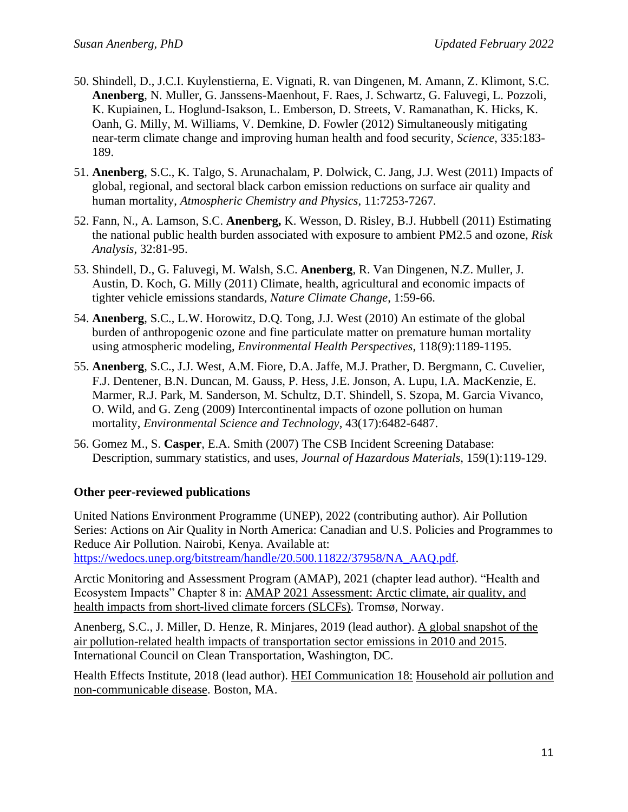- 50. Shindell, D., J.C.I. Kuylenstierna, E. Vignati, R. van Dingenen, M. Amann, Z. Klimont, S.C. **Anenberg**, N. Muller, G. Janssens-Maenhout, F. Raes, J. Schwartz, G. Faluvegi, L. Pozzoli, K. Kupiainen, L. Hoglund-Isakson, L. Emberson, D. Streets, V. Ramanathan, K. Hicks, K. Oanh, G. Milly, M. Williams, V. Demkine, D. Fowler (2012) Simultaneously mitigating near-term climate change and improving human health and food security, *Science*, 335:183- 189.
- 51. **Anenberg**, S.C., K. Talgo, S. Arunachalam, P. Dolwick, C. Jang, J.J. West (2011) Impacts of global, regional, and sectoral black carbon emission reductions on surface air quality and human mortality, *Atmospheric Chemistry and Physics*, 11:7253-7267*.*
- 52. Fann, N., A. Lamson, S.C. **Anenberg,** K. Wesson, D. Risley, B.J. Hubbell (2011) Estimating the national public health burden associated with exposure to ambient PM2.5 and ozone, *Risk Analysis*, 32:81-95.
- 53. Shindell, D., G. Faluvegi, M. Walsh, S.C. **Anenberg**, R. Van Dingenen, N.Z. Muller, J. Austin, D. Koch, G. Milly (2011) Climate, health, agricultural and economic impacts of tighter vehicle emissions standards, *Nature Climate Change*, 1:59-66.
- 54. **Anenberg**, S.C., L.W. Horowitz, D.Q. Tong, J.J. West (2010) An estimate of the global burden of anthropogenic ozone and fine particulate matter on premature human mortality using atmospheric modeling, *Environmental Health Perspectives*, 118(9):1189-1195.
- 55. **Anenberg**, S.C., J.J. West, A.M. Fiore, D.A. Jaffe, M.J. Prather, D. Bergmann, C. Cuvelier, F.J. Dentener, B.N. Duncan, M. Gauss, P. Hess, J.E. Jonson, A. Lupu, I.A. MacKenzie, E. Marmer, R.J. Park, M. Sanderson, M. Schultz, D.T. Shindell, S. Szopa, M. Garcia Vivanco, O. Wild, and G. Zeng (2009) Intercontinental impacts of ozone pollution on human mortality, *Environmental Science and Technology*, 43(17):6482-6487.
- 56. Gomez M., S. **Casper**, E.A. Smith (2007) The CSB Incident Screening Database: Description, summary statistics, and uses, *Journal of Hazardous Materials*, 159(1):119-129.

#### **Other peer-reviewed publications**

United Nations Environment Programme (UNEP), 2022 (contributing author). Air Pollution Series: Actions on Air Quality in North America: Canadian and U.S. Policies and Programmes to Reduce Air Pollution. Nairobi, Kenya. Available at: [https://wedocs.unep.org/bitstream/handle/20.500.11822/37958/NA\\_AAQ.pdf.](https://wedocs.unep.org/bitstream/handle/20.500.11822/37958/NA_AAQ.pdf)

Arctic Monitoring and Assessment Program (AMAP), 2021 (chapter lead author). "Health and Ecosystem Impacts" Chapter 8 in: AMAP 2021 Assessment: Arctic climate, air quality, and health impacts from short-lived climate forcers (SLCFs). Tromsø, Norway.

Anenberg, S.C., J. Miller, D. Henze, R. Minjares, 2019 (lead author). A global snapshot of the air pollution-related health impacts of transportation sector emissions in 2010 and 2015. International Council on Clean Transportation, Washington, DC.

Health Effects Institute, 2018 (lead author). HEI Communication 18: Household air pollution and non-communicable disease. Boston, MA.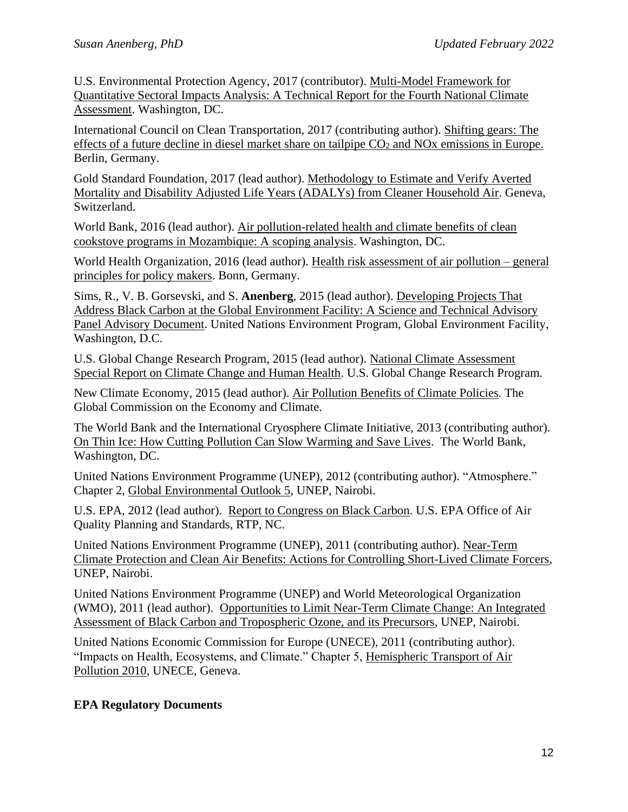U.S. Environmental Protection Agency, 2017 (contributor). Multi-Model Framework for Quantitative Sectoral Impacts Analysis: A Technical Report for the Fourth National Climate Assessment. Washington, DC.

International Council on Clean Transportation, 2017 (contributing author). Shifting gears: The effects of a future decline in diesel market share on tailpipe CO<sub>2</sub> and NO<sub>x</sub> emissions in Europe. Berlin, Germany.

Gold Standard Foundation, 2017 (lead author). Methodology to Estimate and Verify Averted Mortality and Disability Adjusted Life Years (ADALYs) from Cleaner Household Air. Geneva, Switzerland.

World Bank, 2016 (lead author). Air pollution-related health and climate benefits of clean cookstove programs in Mozambique: A scoping analysis. Washington, DC.

World Health Organization, 2016 (lead author). Health risk assessment of air pollution – general principles for policy makers. Bonn, Germany.

Sims, R., V. B. Gorsevski, and S. **Anenberg**, 2015 (lead author). Developing Projects That Address Black Carbon at the Global Environment Facility: A Science and Technical Advisory Panel Advisory Document. United Nations Environment Program, Global Environment Facility, Washington, D.C.

U.S. Global Change Research Program, 2015 (lead author). National Climate Assessment Special Report on Climate Change and Human Health. U.S. Global Change Research Program.

New Climate Economy, 2015 (lead author). Air Pollution Benefits of Climate Policies. The Global Commission on the Economy and Climate.

The World Bank and the International Cryosphere Climate Initiative, 2013 (contributing author). On Thin Ice: How Cutting Pollution Can Slow Warming and Save Lives. The World Bank, Washington, DC.

United Nations Environment Programme (UNEP), 2012 (contributing author). "Atmosphere." Chapter 2, Global Environmental Outlook 5, UNEP, Nairobi.

U.S. EPA, 2012 (lead author). Report to Congress on Black Carbon. U.S. EPA Office of Air Quality Planning and Standards, RTP, NC.

United Nations Environment Programme (UNEP), 2011 (contributing author). Near-Term Climate Protection and Clean Air Benefits: Actions for Controlling Short-Lived Climate Forcers, UNEP, Nairobi.

United Nations Environment Programme (UNEP) and World Meteorological Organization (WMO), 2011 (lead author). Opportunities to Limit Near-Term Climate Change: An Integrated Assessment of Black Carbon and Tropospheric Ozone, and its Precursors, UNEP, Nairobi.

United Nations Economic Commission for Europe (UNECE), 2011 (contributing author). "Impacts on Health, Ecosystems, and Climate." Chapter 5, Hemispheric Transport of Air Pollution 2010, UNECE, Geneva.

## **EPA Regulatory Documents**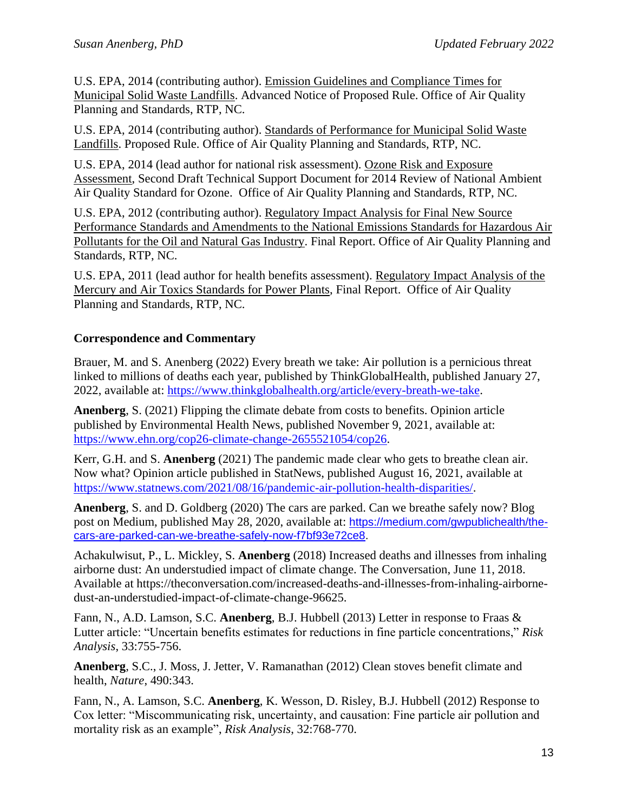U.S. EPA, 2014 (contributing author). Emission Guidelines and Compliance Times for Municipal Solid Waste Landfills. Advanced Notice of Proposed Rule. Office of Air Quality Planning and Standards, RTP, NC.

U.S. EPA, 2014 (contributing author). Standards of Performance for Municipal Solid Waste Landfills. Proposed Rule. Office of Air Quality Planning and Standards, RTP, NC.

U.S. EPA, 2014 (lead author for national risk assessment). Ozone Risk and Exposure Assessment, Second Draft Technical Support Document for 2014 Review of National Ambient Air Quality Standard for Ozone. Office of Air Quality Planning and Standards, RTP, NC.

U.S. EPA, 2012 (contributing author). Regulatory Impact Analysis for Final New Source Performance Standards and Amendments to the National Emissions Standards for Hazardous Air Pollutants for the Oil and Natural Gas Industry. Final Report. Office of Air Quality Planning and Standards, RTP, NC.

U.S. EPA, 2011 (lead author for health benefits assessment). Regulatory Impact Analysis of the Mercury and Air Toxics Standards for Power Plants, Final Report. Office of Air Quality Planning and Standards, RTP, NC.

#### **Correspondence and Commentary**

Brauer, M. and S. Anenberg (2022) Every breath we take: Air pollution is a pernicious threat linked to millions of deaths each year, published by ThinkGlobalHealth, published January 27, 2022, available at: [https://www.thinkglobalhealth.org/article/every-breath-we-take.](https://www.thinkglobalhealth.org/article/every-breath-we-take)

**Anenberg**, S. (2021) Flipping the climate debate from costs to benefits. Opinion article published by Environmental Health News, published November 9, 2021, available at: [https://www.ehn.org/cop26-climate-change-2655521054/cop26.](https://www.ehn.org/cop26-climate-change-2655521054/cop26)

Kerr, G.H. and S. **Anenberg** (2021) The pandemic made clear who gets to breathe clean air. Now what? Opinion article published in StatNews, published August 16, 2021, available at [https://www.statnews.com/2021/08/16/pandemic-air-pollution-health-disparities/.](https://www.statnews.com/2021/08/16/pandemic-air-pollution-health-disparities/)

**Anenberg**, S. and D. Goldberg (2020) The cars are parked. Can we breathe safely now? Blog post on Medium, published May 28, 2020, available at: [https://medium.com/gwpublichealth/the](https://medium.com/gwpublichealth/the-cars-are-parked-can-we-breathe-safely-now-f7bf93e72ce8)[cars-are-parked-can-we-breathe-safely-now-f7bf93e72ce8.](https://medium.com/gwpublichealth/the-cars-are-parked-can-we-breathe-safely-now-f7bf93e72ce8)

Achakulwisut, P., L. Mickley, S. **Anenberg** (2018) Increased deaths and illnesses from inhaling airborne dust: An understudied impact of climate change. The Conversation, June 11, 2018. Available at https://theconversation.com/increased-deaths-and-illnesses-from-inhaling-airbornedust-an-understudied-impact-of-climate-change-96625.

Fann, N., A.D. Lamson, S.C. **Anenberg**, B.J. Hubbell (2013) Letter in response to Fraas & Lutter article: "Uncertain benefits estimates for reductions in fine particle concentrations," *Risk Analysis*, 33:755-756.

**Anenberg**, S.C., J. Moss, J. Jetter, V. Ramanathan (2012) Clean stoves benefit climate and health, *Nature*, 490:343.

Fann, N., A. Lamson, S.C. **Anenberg**, K. Wesson, D. Risley, B.J. Hubbell (2012) Response to Cox letter: "Miscommunicating risk, uncertainty, and causation: Fine particle air pollution and mortality risk as an example", *Risk Analysis*, 32:768-770.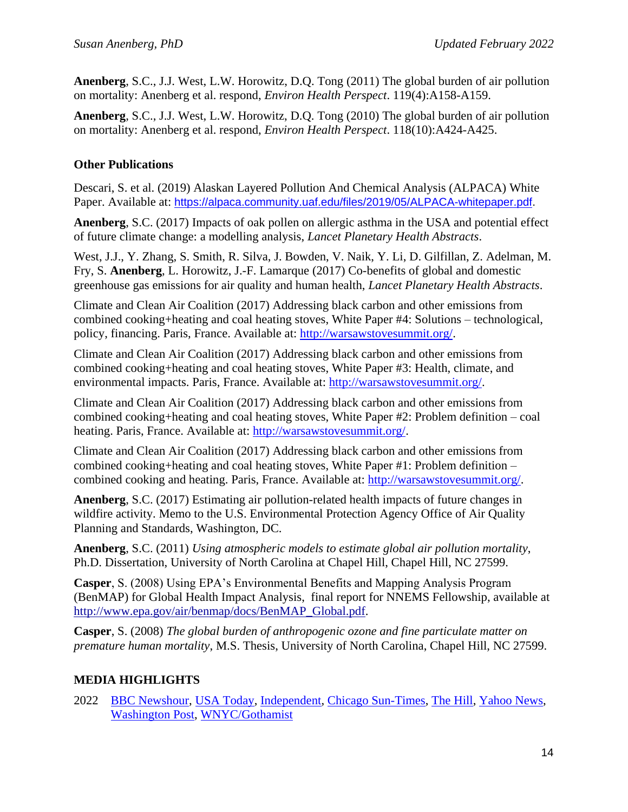**Anenberg**, S.C., J.J. West, L.W. Horowitz, D.Q. Tong (2011) The global burden of air pollution on mortality: Anenberg et al. respond, *Environ Health Perspect*. 119(4):A158-A159.

**Anenberg**, S.C., J.J. West, L.W. Horowitz, D.Q. Tong (2010) The global burden of air pollution on mortality: Anenberg et al. respond, *Environ Health Perspect*. 118(10):A424-A425.

### **Other Publications**

Descari, S. et al. (2019) Alaskan Layered Pollution And Chemical Analysis (ALPACA) White Paper. Available at: [https://alpaca.community.uaf.edu/files/2019/05/ALPACA-whitepaper.pdf.](https://alpaca.community.uaf.edu/files/2019/05/ALPACA-whitepaper.pdf)

**Anenberg**, S.C. (2017) Impacts of oak pollen on allergic asthma in the USA and potential effect of future climate change: a modelling analysis, *Lancet Planetary Health Abstracts*.

West, J.J., Y. Zhang, S. Smith, R. Silva, J. Bowden, V. Naik, Y. Li, D. Gilfillan, Z. Adelman, M. Fry, S. **Anenberg**, L. Horowitz, J.-F. Lamarque (2017) Co-benefits of global and domestic greenhouse gas emissions for air quality and human health, *Lancet Planetary Health Abstracts*.

Climate and Clean Air Coalition (2017) Addressing black carbon and other emissions from combined cooking+heating and coal heating stoves, White Paper #4: Solutions – technological, policy, financing. Paris, France. Available at: [http://warsawstovesummit.org/.](http://warsawstovesummit.org/)

Climate and Clean Air Coalition (2017) Addressing black carbon and other emissions from combined cooking+heating and coal heating stoves, White Paper #3: Health, climate, and environmental impacts. Paris, France. Available at: [http://warsawstovesummit.org/.](http://warsawstovesummit.org/)

Climate and Clean Air Coalition (2017) Addressing black carbon and other emissions from combined cooking+heating and coal heating stoves, White Paper #2: Problem definition – coal heating. Paris, France. Available at: [http://warsawstovesummit.org/.](http://warsawstovesummit.org/)

Climate and Clean Air Coalition (2017) Addressing black carbon and other emissions from combined cooking+heating and coal heating stoves, White Paper #1: Problem definition – combined cooking and heating. Paris, France. Available at: [http://warsawstovesummit.org/.](http://warsawstovesummit.org/)

**Anenberg**, S.C. (2017) Estimating air pollution-related health impacts of future changes in wildfire activity. Memo to the U.S. Environmental Protection Agency Office of Air Quality Planning and Standards, Washington, DC.

**Anenberg**, S.C. (2011) *Using atmospheric models to estimate global air pollution mortality*, Ph.D. Dissertation, University of North Carolina at Chapel Hill, Chapel Hill, NC 27599.

**Casper**, S. (2008) Using EPA's Environmental Benefits and Mapping Analysis Program (BenMAP) for Global Health Impact Analysis, final report for NNEMS Fellowship, available a[t](http://www.epa.gov/air/benmap/docs/BenMAP_Global.pdf) [http://www.epa.gov/air/benmap/docs/BenMAP\\_Global.pdf.](http://www.epa.gov/air/benmap/docs/BenMAP_Global.pdf)

**Casper**, S. (2008) *The global burden of anthropogenic ozone and fine particulate matter on premature human mortality*, M.S. Thesis, University of North Carolina, Chapel Hill, NC 27599.

## **MEDIA HIGHLIGHTS**

2022 [BBC Newshour,](https://www.bbc.co.uk/sounds/play/p0bfr886?at_custom2=twitter&at_custom3=BBC+World+Service&at_medium=custom7&at_custom1=%5Bpost+type%5D&at_custom4=941C7DDC-6F0B-11EC-959E-222A3A982C1E&at_campaign=64) [USA Today,](https://www.usatoday.com/story/news/health/2022/01/06/asthma-kids-nearly-2-m-new-cases-linked-traffic-pollution-year/9103091002/) [Independent,](https://www.independent.co.uk/climate-change/news/air-pollution-global-deaths-cities-b1987396.html) [Chicago Sun-Times,](https://chicago.suntimes.com/2022/1/10/22876432/traffic-pollution-childhood-asthma-respiratory-illness-george-washington-university) [The Hill,](https://thehill.com/policy/equilibrium-sustainability/589051-most-city-residents-breathing-unhealthy-air) [Yahoo News,](https://news.yahoo.com/most-city-residents-breathing-unhealthy-200313947.html) [Washington Post,](https://www.washingtonpost.com/health/2022/02/06/air-pollution-urban/) [WNYC/Gothamist](https://gothamist.com/news/new-york-citys-air-quality-is-improving-but-it-still-isnt-healthy-enough)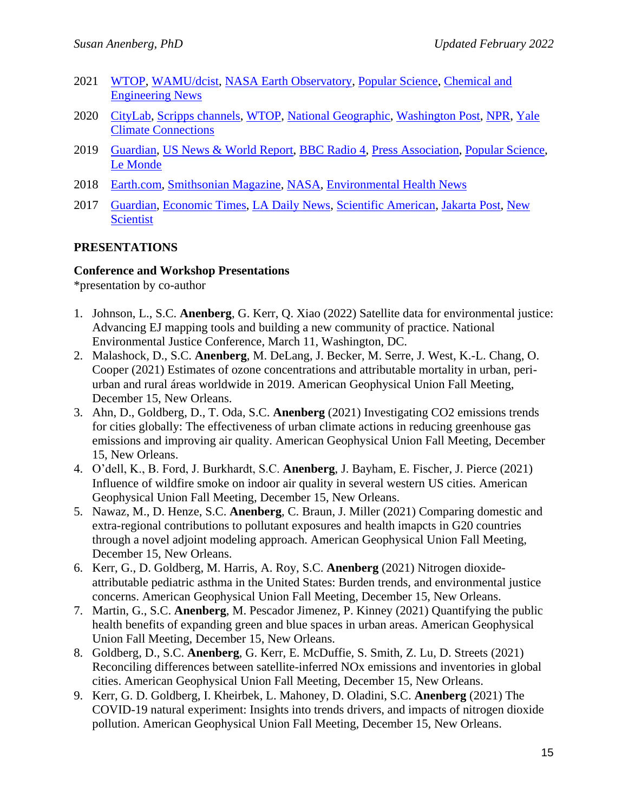- 2021 [WTOP,](https://wtop.com/dc/2021/11/communities-of-color-most-impacted-by-air-pollution-in-dc/) [WAMU/dcist,](https://dcist.com/story/21/11/16/air-pollution-more-deaths-black-neighborhoods-dc/) [NASA Earth Observatory,](https://earthobservatory.nasa.gov/images/149047/an-extra-air-pollution-burden) [Popular Science,](https://www.popsci.com/story/health/california-bay-area-air-pollution-health-effects/) [Chemical and](https://cen.acs.org/environment/pollution/local-air-quality-monitoring-inequalities/99/i23)  [Engineering News](https://cen.acs.org/environment/pollution/local-air-quality-monitoring-inequalities/99/i23)
- 2020 [CityLab,](https://www.bloomberg.com/news/articles/2020-12-21/what-covid-lockdowns-did-for-urban-air-pollution) [Scripps channels,](https://www.turnto23.com/rebound/earth-day-turns-50-as-environment-reaps-benefits-from-covid-19-lockdowns) [WTOP,](https://wtop.com/local/2020/04/despite-telework-stay-at-home-orders-not-much-change-to-air-quality-in-dc-area/) [National Geographic,](https://www.nationalgeographic.com/science/2020/04/pollution-made-the-pandemic-worse-but-lockdowns-clean-the-sky/) [Washington Post,](https://www.washingtonpost.com/weather/2020/04/22/washington-dc-air-quality-coronavirus/) [NPR,](https://thekojonnamdishow.org/audio/#/shows/2020-05-19/reducing-air-pollution-during-the-pandemic/116753/@00:00) [Yale](https://www.yaleclimateconnections.org/2020/05/nearly-900-gulf-coast-hazardous-chemical-facilities-are-vulnerable-to-dangerous-hurricanes/)  [Climate Connections](https://www.yaleclimateconnections.org/2020/05/nearly-900-gulf-coast-hazardous-chemical-facilities-are-vulnerable-to-dangerous-hurricanes/)
- 2019 [Guardian,](https://www.theguardian.com/environment/2019/aug/08/hitting-clean-air-targets-could-stop-67000-child-asthma-cases-a-year) [US News & World Report,](https://www.usnews.com/news/health-news/articles/2019-04-10/study-air-pollution-linked-to-4m-new-cases-of-pediatric-asthma-a-year) [BBC Radio 4,](https://www.bbc.co.uk/sounds/play/m0003zck) [Press Association,](https://www.telegraph.co.uk/news/2019/04/10/30-per-cent-child-asthma-cases-due-pollution-parts-uk/) [Popular Science,](https://www.popsci.com/car-exhaust-asthma-children/) [Le Monde](https://www.lemonde.fr/planete/article/2019/04/11/pollution-le-trafic-automobile-responsable-de-quatre-millions-de-nouveaux-cas-d-asthme-infantile-par-an_5448585_3244.html)
- 2018 [Earth.com,](https://news.google.com/articles/CBMiNmh0dHBzOi8vd3d3LmVhcnRoLmNvbS9uZXdzL2R1c3QtZXhwb3N1cmUtaHVtYW4taGVhbHRoL9IBAA?hl=en-US&gl=US&ceid=US%3Aen) [Smithsonian Magazine,](https://www.smithsonianmag.com/science-nature/climate-change-mega-droughts-human-health-180969299/) [NASA,](https://science.nasa.gov/earth-science/applied-sciences/making-space-for-earth/NASA-satellites-help-scientists-determine-the-global-burden-of-asthma) [Environmental Health News](https://www.ehn.org/air-pollution-asthma-er-visits-2614637338.html)
- 2017 [Guardian,](https://news.google.com/articles/CAIiEEZnEnPduSz49qllcB4e1ecqFggEKg4IACoGCAowl6p7MN-zCTDlkko?hl=en-US&gl=US&ceid=US%3Aen) [Economic Times,](https://news.google.com/articles/CAIiEITYddkugc0N-By5y36GHM4qGQgEKhAIACoHCAow2pqGCzD954MDMPTVigY?hl=en-US&gl=US&ceid=US%3Aen) [LA Daily News,](https://news.google.com/articles/CBMiYWh0dHBzOi8vd3d3LmRhaWx5bmV3cy5jb20vMjAxNy8wNS8xNS9nbG9iYWwtdGFpbHBpcGUtdGVzdHMtdmFzdGx5LXVuZGVyZXN0aW1hdGUtZGllc2VsLXBvbGx1dGlvbi_SAWVodHRwczovL3d3dy5kYWlseW5ld3MuY29tLzIwMTcvMDUvMTUvZ2xvYmFsLXRhaWxwaXBlLXRlc3RzLXZhc3RseS11bmRlcmVzdGltYXRlLWRpZXNlbC1wb2xsdXRpb24vYW1wLw?hl=en-US&gl=US&ceid=US%3Aen) [Scientific American,](https://news.google.com/articles/CBMiYGh0dHBzOi8vd3d3LnNjaWVudGlmaWNhbWVyaWNhbi5jb20vYXJ0aWNsZS9hbGxlcmd5LWFuZC1hc3RobWEtcGF0aWVudHMtZmxvY2stdG8tZW1lcmdlbmN5LXJvb21zL9IBAA?hl=en-US&gl=US&ceid=US%3Aen) [Jakarta Post,](https://www.thejakartapost.com/life/2017/05/16/excess-car-pollution-killed-38000-in-2015-study.html) [New](https://www.newscientist.com/article/2131067-diesel-fumes-lead-to-thousands-more-deaths-than-thought/)  [Scientist](https://www.newscientist.com/article/2131067-diesel-fumes-lead-to-thousands-more-deaths-than-thought/)

#### **PRESENTATIONS**

#### **Conference and Workshop Presentations**

\*presentation by co-author

- 1. Johnson, L., S.C. **Anenberg**, G. Kerr, Q. Xiao (2022) Satellite data for environmental justice: Advancing EJ mapping tools and building a new community of practice. National Environmental Justice Conference, March 11, Washington, DC.
- 2. Malashock, D., S.C. **Anenberg**, M. DeLang, J. Becker, M. Serre, J. West, K.-L. Chang, O. Cooper (2021) Estimates of ozone concentrations and attributable mortality in urban, periurban and rural áreas worldwide in 2019. American Geophysical Union Fall Meeting, December 15, New Orleans.
- 3. Ahn, D., Goldberg, D., T. Oda, S.C. **Anenberg** (2021) Investigating CO2 emissions trends for cities globally: The effectiveness of urban climate actions in reducing greenhouse gas emissions and improving air quality. American Geophysical Union Fall Meeting, December 15, New Orleans.
- 4. O'dell, K., B. Ford, J. Burkhardt, S.C. **Anenberg**, J. Bayham, E. Fischer, J. Pierce (2021) Influence of wildfire smoke on indoor air quality in several western US cities. American Geophysical Union Fall Meeting, December 15, New Orleans.
- 5. Nawaz, M., D. Henze, S.C. **Anenberg**, C. Braun, J. Miller (2021) Comparing domestic and extra-regional contributions to pollutant exposures and health imapcts in G20 countries through a novel adjoint modeling approach. American Geophysical Union Fall Meeting, December 15, New Orleans.
- 6. Kerr, G., D. Goldberg, M. Harris, A. Roy, S.C. **Anenberg** (2021) Nitrogen dioxideattributable pediatric asthma in the United States: Burden trends, and environmental justice concerns. American Geophysical Union Fall Meeting, December 15, New Orleans.
- 7. Martin, G., S.C. **Anenberg**, M. Pescador Jimenez, P. Kinney (2021) Quantifying the public health benefits of expanding green and blue spaces in urban areas. American Geophysical Union Fall Meeting, December 15, New Orleans.
- 8. Goldberg, D., S.C. **Anenberg**, G. Kerr, E. McDuffie, S. Smith, Z. Lu, D. Streets (2021) Reconciling differences between satellite-inferred NOx emissions and inventories in global cities. American Geophysical Union Fall Meeting, December 15, New Orleans.
- 9. Kerr, G. D. Goldberg, I. Kheirbek, L. Mahoney, D. Oladini, S.C. **Anenberg** (2021) The COVID-19 natural experiment: Insights into trends drivers, and impacts of nitrogen dioxide pollution. American Geophysical Union Fall Meeting, December 15, New Orleans.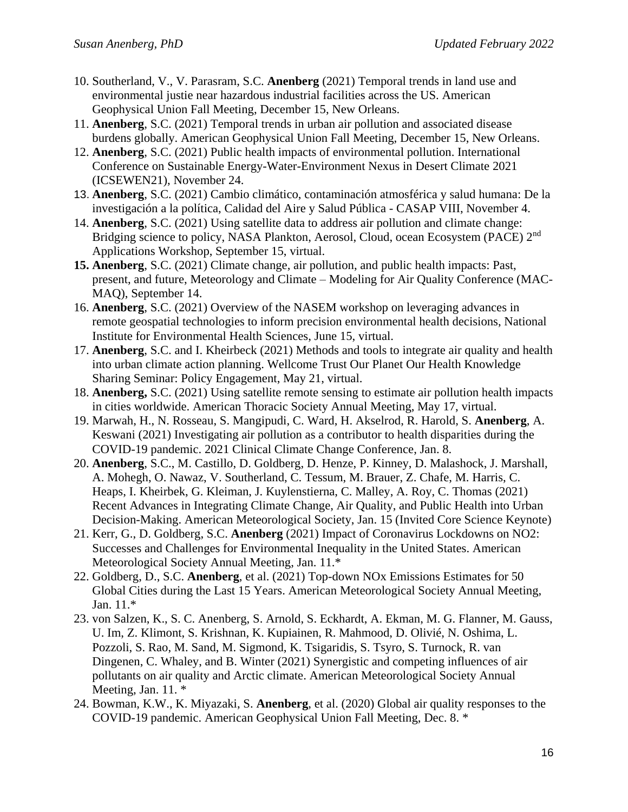- 10. Southerland, V., V. Parasram, S.C. **Anenberg** (2021) Temporal trends in land use and environmental justie near hazardous industrial facilities across the US. American Geophysical Union Fall Meeting, December 15, New Orleans.
- 11. **Anenberg**, S.C. (2021) Temporal trends in urban air pollution and associated disease burdens globally. American Geophysical Union Fall Meeting, December 15, New Orleans.
- 12. **Anenberg**, S.C. (2021) Public health impacts of environmental pollution. International Conference on Sustainable Energy-Water-Environment Nexus in Desert Climate 2021 (ICSEWEN21), November 24.
- 13. **Anenberg**, S.C. (2021) Cambio climático, contaminación atmosférica y salud humana: De la investigación a la política, Calidad del Aire y Salud Pública - CASAP VIII, November 4.
- 14. **Anenberg**, S.C. (2021) Using satellite data to address air pollution and climate change: Bridging science to policy, NASA Plankton, Aerosol, Cloud, ocean Ecosystem (PACE) 2<sup>nd</sup> Applications Workshop, September 15, virtual.
- **15. Anenberg**, S.C. (2021) Climate change, air pollution, and public health impacts: Past, present, and future, Meteorology and Climate – Modeling for Air Quality Conference (MAC-MAQ), September 14.
- 16. **Anenberg**, S.C. (2021) Overview of the NASEM workshop on leveraging advances in remote geospatial technologies to inform precision environmental health decisions, National Institute for Environmental Health Sciences, June 15, virtual.
- 17. **Anenberg**, S.C. and I. Kheirbeck (2021) Methods and tools to integrate air quality and health into urban climate action planning. Wellcome Trust Our Planet Our Health Knowledge Sharing Seminar: Policy Engagement, May 21, virtual.
- 18. **Anenberg,** S.C. (2021) Using satellite remote sensing to estimate air pollution health impacts in cities worldwide. American Thoracic Society Annual Meeting, May 17, virtual.
- 19. Marwah, H., N. Rosseau, S. Mangipudi, C. Ward, H. Akselrod, R. Harold, S. **Anenberg**, A. Keswani (2021) Investigating air pollution as a contributor to health disparities during the COVID-19 pandemic. 2021 Clinical Climate Change Conference, Jan. 8.
- 20. **Anenberg**, S.C., M. Castillo, D. Goldberg, D. Henze, P. Kinney, D. Malashock, J. Marshall, A. Mohegh, O. Nawaz, V. Southerland, C. Tessum, M. Brauer, Z. Chafe, M. Harris, C. Heaps, I. Kheirbek, G. Kleiman, J. Kuylenstierna, C. Malley, A. Roy, C. Thomas (2021) Recent Advances in Integrating Climate Change, Air Quality, and Public Health into Urban Decision-Making. American Meteorological Society, Jan. 15 (Invited Core Science Keynote)
- 21. Kerr, G., D. Goldberg, S.C. **Anenberg** (2021) Impact of Coronavirus Lockdowns on NO2: Successes and Challenges for Environmental Inequality in the United States. American Meteorological Society Annual Meeting, Jan. 11.\*
- 22. Goldberg, D., S.C. **Anenberg**, et al. (2021) Top-down NOx Emissions Estimates for 50 Global Cities during the Last 15 Years. American Meteorological Society Annual Meeting, Jan. 11.\*
- 23. von Salzen, K., S. C. Anenberg, S. Arnold, S. Eckhardt, A. Ekman, M. G. Flanner, M. Gauss, U. Im, Z. Klimont, S. Krishnan, K. Kupiainen, R. Mahmood, D. Olivié, N. Oshima, L. Pozzoli, S. Rao, M. Sand, M. Sigmond, K. Tsigaridis, S. Tsyro, S. Turnock, R. van Dingenen, C. Whaley, and B. Winter (2021) Synergistic and competing influences of air pollutants on air quality and Arctic climate. American Meteorological Society Annual Meeting, Jan. 11. \*
- 24. Bowman, K.W., K. Miyazaki, S. **Anenberg**, et al. (2020) Global air quality responses to the COVID-19 pandemic. American Geophysical Union Fall Meeting, Dec. 8. \*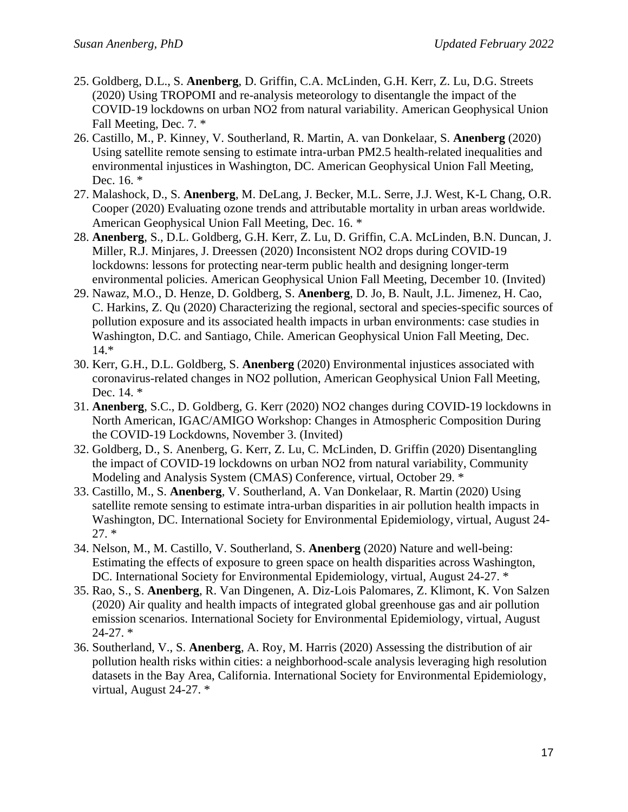- 25. Goldberg, D.L., S. **Anenberg**, D. Griffin, C.A. McLinden, G.H. Kerr, Z. Lu, D.G. Streets (2020) Using TROPOMI and re-analysis meteorology to disentangle the impact of the COVID-19 lockdowns on urban NO2 from natural variability. American Geophysical Union Fall Meeting, Dec. 7. \*
- 26. Castillo, M., P. Kinney, V. Southerland, R. Martin, A. van Donkelaar, S. **Anenberg** (2020) Using satellite remote sensing to estimate intra-urban PM2.5 health-related inequalities and environmental injustices in Washington, DC. American Geophysical Union Fall Meeting, Dec. 16. \*
- 27. Malashock, D., S. **Anenberg**, M. DeLang, J. Becker, M.L. Serre, J.J. West, K-L Chang, O.R. Cooper (2020) Evaluating ozone trends and attributable mortality in urban areas worldwide. American Geophysical Union Fall Meeting, Dec. 16. \*
- 28. **Anenberg**, S., D.L. Goldberg, G.H. Kerr, Z. Lu, D. Griffin, C.A. McLinden, B.N. Duncan, J. Miller, R.J. Minjares, J. Dreessen (2020) Inconsistent NO2 drops during COVID-19 lockdowns: lessons for protecting near-term public health and designing longer-term environmental policies. American Geophysical Union Fall Meeting, December 10. (Invited)
- 29. Nawaz, M.O., D. Henze, D. Goldberg, S. **Anenberg**, D. Jo, B. Nault, J.L. Jimenez, H. Cao, C. Harkins, Z. Qu (2020) Characterizing the regional, sectoral and species-specific sources of pollution exposure and its associated health impacts in urban environments: case studies in Washington, D.C. and Santiago, Chile. American Geophysical Union Fall Meeting, Dec. 14.\*
- 30. Kerr, G.H., D.L. Goldberg, S. **Anenberg** (2020) Environmental injustices associated with coronavirus-related changes in NO2 pollution, American Geophysical Union Fall Meeting, Dec. 14. \*
- 31. **Anenberg**, S.C., D. Goldberg, G. Kerr (2020) NO2 changes during COVID-19 lockdowns in North American, IGAC/AMIGO Workshop: Changes in Atmospheric Composition During the COVID-19 Lockdowns, November 3. (Invited)
- 32. Goldberg, D., S. Anenberg, G. Kerr, Z. Lu, C. McLinden, D. Griffin (2020) Disentangling the impact of COVID-19 lockdowns on urban NO2 from natural variability, Community Modeling and Analysis System (CMAS) Conference, virtual, October 29. \*
- 33. Castillo, M., S. **Anenberg**, V. Southerland, A. Van Donkelaar, R. Martin (2020) Using satellite remote sensing to estimate intra-urban disparities in air pollution health impacts in Washington, DC. International Society for Environmental Epidemiology, virtual, August 24- 27. \*
- 34. Nelson, M., M. Castillo, V. Southerland, S. **Anenberg** (2020) Nature and well-being: Estimating the effects of exposure to green space on health disparities across Washington, DC. International Society for Environmental Epidemiology, virtual, August 24-27. \*
- 35. Rao, S., S. **Anenberg**, R. Van Dingenen, A. Diz-Lois Palomares, Z. Klimont, K. Von Salzen (2020) Air quality and health impacts of integrated global greenhouse gas and air pollution emission scenarios. International Society for Environmental Epidemiology, virtual, August  $24-27.$ \*
- 36. Southerland, V., S. **Anenberg**, A. Roy, M. Harris (2020) Assessing the distribution of air pollution health risks within cities: a neighborhood-scale analysis leveraging high resolution datasets in the Bay Area, California. International Society for Environmental Epidemiology, virtual, August 24-27. \*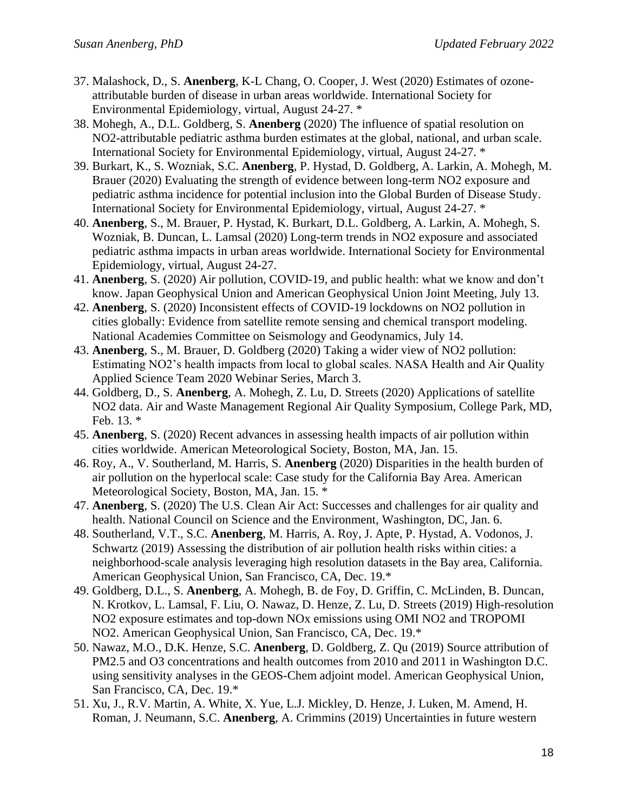- 37. Malashock, D., S. **Anenberg**, K-L Chang, O. Cooper, J. West (2020) Estimates of ozoneattributable burden of disease in urban areas worldwide. International Society for Environmental Epidemiology, virtual, August 24-27. \*
- 38. Mohegh, A., D.L. Goldberg, S. **Anenberg** (2020) The influence of spatial resolution on NO2-attributable pediatric asthma burden estimates at the global, national, and urban scale. International Society for Environmental Epidemiology, virtual, August 24-27. \*
- 39. Burkart, K., S. Wozniak, S.C. **Anenberg**, P. Hystad, D. Goldberg, A. Larkin, A. Mohegh, M. Brauer (2020) Evaluating the strength of evidence between long-term NO2 exposure and pediatric asthma incidence for potential inclusion into the Global Burden of Disease Study. International Society for Environmental Epidemiology, virtual, August 24-27. \*
- 40. **Anenberg**, S., M. Brauer, P. Hystad, K. Burkart, D.L. Goldberg, A. Larkin, A. Mohegh, S. Wozniak, B. Duncan, L. Lamsal (2020) Long-term trends in NO2 exposure and associated pediatric asthma impacts in urban areas worldwide. International Society for Environmental Epidemiology, virtual, August 24-27.
- 41. **Anenberg**, S. (2020) Air pollution, COVID-19, and public health: what we know and don't know. Japan Geophysical Union and American Geophysical Union Joint Meeting, July 13.
- 42. **Anenberg**, S. (2020) Inconsistent effects of COVID-19 lockdowns on NO2 pollution in cities globally: Evidence from satellite remote sensing and chemical transport modeling. National Academies Committee on Seismology and Geodynamics, July 14.
- 43. **Anenberg**, S., M. Brauer, D. Goldberg (2020) Taking a wider view of NO2 pollution: Estimating NO2's health impacts from local to global scales. NASA Health and Air Quality Applied Science Team 2020 Webinar Series, March 3.
- 44. Goldberg, D., S. **Anenberg**, A. Mohegh, Z. Lu, D. Streets (2020) Applications of satellite NO2 data. Air and Waste Management Regional Air Quality Symposium, College Park, MD, Feb. 13. \*
- 45. **Anenberg**, S. (2020) Recent advances in assessing health impacts of air pollution within cities worldwide. American Meteorological Society, Boston, MA, Jan. 15.
- 46. Roy, A., V. Southerland, M. Harris, S. **Anenberg** (2020) Disparities in the health burden of air pollution on the hyperlocal scale: Case study for the California Bay Area. American Meteorological Society, Boston, MA, Jan. 15. \*
- 47. **Anenberg**, S. (2020) The U.S. Clean Air Act: Successes and challenges for air quality and health. National Council on Science and the Environment, Washington, DC, Jan. 6.
- 48. Southerland, V.T., S.C. **Anenberg**, M. Harris, A. Roy, J. Apte, P. Hystad, A. Vodonos, J. Schwartz (2019) Assessing the distribution of air pollution health risks within cities: a neighborhood-scale analysis leveraging high resolution datasets in the Bay area, California. American Geophysical Union, San Francisco, CA, Dec. 19.\*
- 49. Goldberg, D.L., S. **Anenberg**, A. Mohegh, B. de Foy, D. Griffin, C. McLinden, B. Duncan, N. Krotkov, L. Lamsal, F. Liu, O. Nawaz, D. Henze, Z. Lu, D. Streets (2019) High-resolution NO2 exposure estimates and top-down NOx emissions using OMI NO2 and TROPOMI NO2. American Geophysical Union, San Francisco, CA, Dec. 19.\*
- 50. Nawaz, M.O., D.K. Henze, S.C. **Anenberg**, D. Goldberg, Z. Qu (2019) Source attribution of PM2.5 and O3 concentrations and health outcomes from 2010 and 2011 in Washington D.C. using sensitivity analyses in the GEOS-Chem adjoint model. American Geophysical Union, San Francisco, CA, Dec. 19.\*
- 51. Xu, J., R.V. Martin, A. White, X. Yue, L.J. Mickley, D. Henze, J. Luken, M. Amend, H. Roman, J. Neumann, S.C. **Anenberg**, A. Crimmins (2019) Uncertainties in future western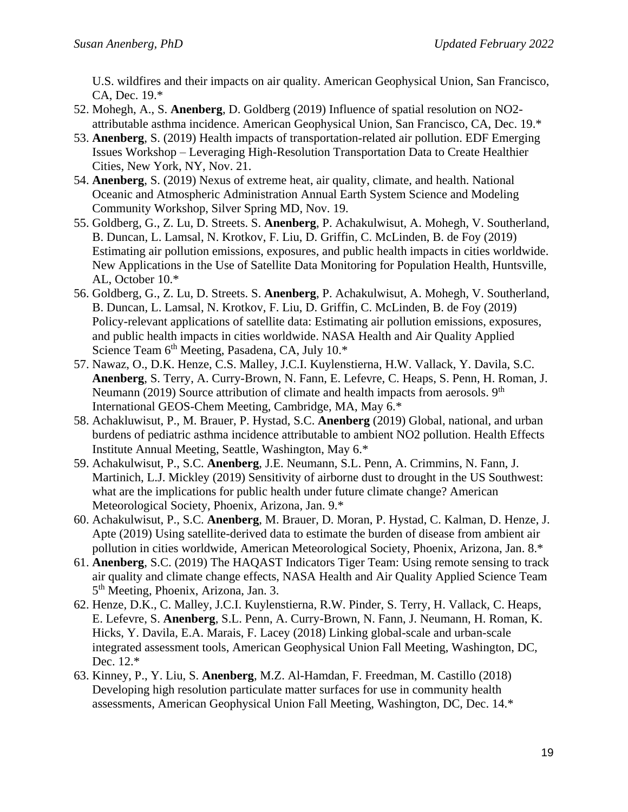U.S. wildfires and their impacts on air quality. American Geophysical Union, San Francisco, CA, Dec. 19.\*

- 52. Mohegh, A., S. **Anenberg**, D. Goldberg (2019) Influence of spatial resolution on NO2 attributable asthma incidence. American Geophysical Union, San Francisco, CA, Dec. 19.\*
- 53. **Anenberg**, S. (2019) Health impacts of transportation-related air pollution. EDF Emerging Issues Workshop – Leveraging High-Resolution Transportation Data to Create Healthier Cities, New York, NY, Nov. 21.
- 54. **Anenberg**, S. (2019) Nexus of extreme heat, air quality, climate, and health. National Oceanic and Atmospheric Administration Annual Earth System Science and Modeling Community Workshop, Silver Spring MD, Nov. 19.
- 55. Goldberg, G., Z. Lu, D. Streets. S. **Anenberg**, P. Achakulwisut, A. Mohegh, V. Southerland, B. Duncan, L. Lamsal, N. Krotkov, F. Liu, D. Griffin, C. McLinden, B. de Foy (2019) Estimating air pollution emissions, exposures, and public health impacts in cities worldwide. New Applications in the Use of Satellite Data Monitoring for Population Health, Huntsville, AL, October 10.\*
- 56. Goldberg, G., Z. Lu, D. Streets. S. **Anenberg**, P. Achakulwisut, A. Mohegh, V. Southerland, B. Duncan, L. Lamsal, N. Krotkov, F. Liu, D. Griffin, C. McLinden, B. de Foy (2019) Policy-relevant applications of satellite data: Estimating air pollution emissions, exposures, and public health impacts in cities worldwide. NASA Health and Air Quality Applied Science Team  $6<sup>th</sup>$  Meeting, Pasadena, CA, July 10. $*$
- 57. Nawaz, O., D.K. Henze, C.S. Malley, J.C.I. Kuylenstierna, H.W. Vallack, Y. Davila, S.C. **Anenberg**, S. Terry, A. Curry-Brown, N. Fann, E. Lefevre, C. Heaps, S. Penn, H. Roman, J. Neumann (2019) Source attribution of climate and health impacts from aerosols.  $9<sup>th</sup>$ International GEOS-Chem Meeting, Cambridge, MA, May 6.\*
- 58. Achakluwisut, P., M. Brauer, P. Hystad, S.C. **Anenberg** (2019) Global, national, and urban burdens of pediatric asthma incidence attributable to ambient NO2 pollution. Health Effects Institute Annual Meeting, Seattle, Washington, May 6.\*
- 59. Achakulwisut, P., S.C. **Anenberg**, J.E. Neumann, S.L. Penn, A. Crimmins, N. Fann, J. Martinich, L.J. Mickley (2019) Sensitivity of airborne dust to drought in the US Southwest: what are the implications for public health under future climate change? American Meteorological Society, Phoenix, Arizona, Jan. 9.\*
- 60. Achakulwisut, P., S.C. **Anenberg**, M. Brauer, D. Moran, P. Hystad, C. Kalman, D. Henze, J. Apte (2019) Using satellite-derived data to estimate the burden of disease from ambient air pollution in cities worldwide, American Meteorological Society, Phoenix, Arizona, Jan. 8.\*
- 61. **Anenberg**, S.C. (2019) The HAQAST Indicators Tiger Team: Using remote sensing to track air quality and climate change effects, NASA Health and Air Quality Applied Science Team 5<sup>th</sup> Meeting, Phoenix, Arizona, Jan. 3.
- 62. Henze, D.K., C. Malley, J.C.I. Kuylenstierna, R.W. Pinder, S. Terry, H. Vallack, C. Heaps, E. Lefevre, S. **Anenberg**, S.L. Penn, A. Curry-Brown, N. Fann, J. Neumann, H. Roman, K. Hicks, Y. Davila, E.A. Marais, F. Lacey (2018) Linking global-scale and urban-scale integrated assessment tools, American Geophysical Union Fall Meeting, Washington, DC, Dec. 12.\*
- 63. Kinney, P., Y. Liu, S. **Anenberg**, M.Z. Al-Hamdan, F. Freedman, M. Castillo (2018) Developing high resolution particulate matter surfaces for use in community health assessments, American Geophysical Union Fall Meeting, Washington, DC, Dec. 14.\*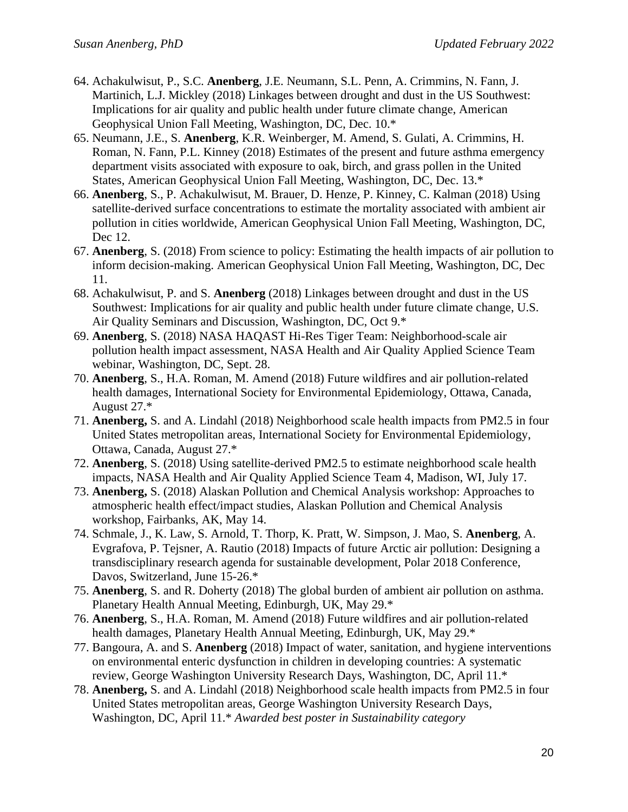- 64. Achakulwisut, P., S.C. **Anenberg**, J.E. Neumann, S.L. Penn, A. Crimmins, N. Fann, J. Martinich, L.J. Mickley (2018) Linkages between drought and dust in the US Southwest: Implications for air quality and public health under future climate change, American Geophysical Union Fall Meeting, Washington, DC, Dec. 10.\*
- 65. Neumann, J.E., S. **Anenberg**, K.R. Weinberger, M. Amend, S. Gulati, A. Crimmins, H. Roman, N. Fann, P.L. Kinney (2018) Estimates of the present and future asthma emergency department visits associated with exposure to oak, birch, and grass pollen in the United States, American Geophysical Union Fall Meeting, Washington, DC, Dec. 13.\*
- 66. **Anenberg**, S., P. Achakulwisut, M. Brauer, D. Henze, P. Kinney, C. Kalman (2018) Using satellite-derived surface concentrations to estimate the mortality associated with ambient air pollution in cities worldwide, American Geophysical Union Fall Meeting, Washington, DC, Dec 12.
- 67. **Anenberg**, S. (2018) From science to policy: Estimating the health impacts of air pollution to inform decision-making. American Geophysical Union Fall Meeting, Washington, DC, Dec 11.
- 68. Achakulwisut, P. and S. **Anenberg** (2018) Linkages between drought and dust in the US Southwest: Implications for air quality and public health under future climate change, U.S. Air Quality Seminars and Discussion, Washington, DC, Oct 9.\*
- 69. **Anenberg**, S. (2018) NASA HAQAST Hi-Res Tiger Team: Neighborhood-scale air pollution health impact assessment, NASA Health and Air Quality Applied Science Team webinar, Washington, DC, Sept. 28.
- 70. **Anenberg**, S., H.A. Roman, M. Amend (2018) Future wildfires and air pollution-related health damages, International Society for Environmental Epidemiology, Ottawa, Canada, August 27.\*
- 71. **Anenberg,** S. and A. Lindahl (2018) Neighborhood scale health impacts from PM2.5 in four United States metropolitan areas, International Society for Environmental Epidemiology, Ottawa, Canada, August 27.\*
- 72. **Anenberg**, S. (2018) Using satellite-derived PM2.5 to estimate neighborhood scale health impacts, NASA Health and Air Quality Applied Science Team 4, Madison, WI, July 17.
- 73. **Anenberg,** S. (2018) Alaskan Pollution and Chemical Analysis workshop: Approaches to atmospheric health effect/impact studies, Alaskan Pollution and Chemical Analysis workshop, Fairbanks, AK, May 14.
- 74. Schmale, J., K. Law, S. Arnold, T. Thorp, K. Pratt, W. Simpson, J. Mao, S. **Anenberg**, A. Evgrafova, P. Tejsner, A. Rautio (2018) Impacts of future Arctic air pollution: Designing a transdisciplinary research agenda for sustainable development, Polar 2018 Conference, Davos, Switzerland, June 15-26.\*
- 75. **Anenberg**, S. and R. Doherty (2018) The global burden of ambient air pollution on asthma. Planetary Health Annual Meeting, Edinburgh, UK, May 29.\*
- 76. **Anenberg**, S., H.A. Roman, M. Amend (2018) Future wildfires and air pollution-related health damages, Planetary Health Annual Meeting, Edinburgh, UK, May 29.\*
- 77. Bangoura, A. and S. **Anenberg** (2018) Impact of water, sanitation, and hygiene interventions on environmental enteric dysfunction in children in developing countries: A systematic review, George Washington University Research Days, Washington, DC, April 11.\*
- 78. **Anenberg,** S. and A. Lindahl (2018) Neighborhood scale health impacts from PM2.5 in four United States metropolitan areas, George Washington University Research Days, Washington, DC, April 11.\* *Awarded best poster in Sustainability category*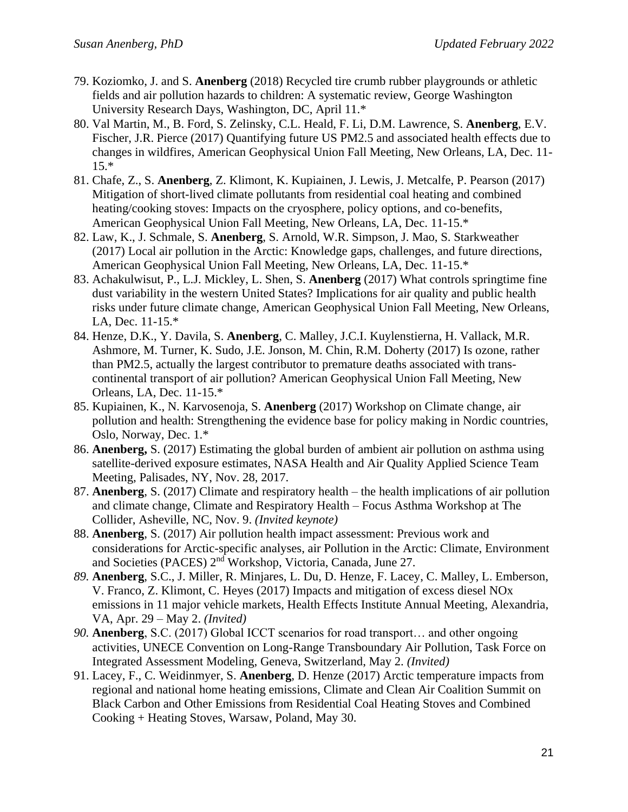- 79. Koziomko, J. and S. **Anenberg** (2018) Recycled tire crumb rubber playgrounds or athletic fields and air pollution hazards to children: A systematic review, George Washington University Research Days, Washington, DC, April 11.\*
- 80. Val Martin, M., B. Ford, S. Zelinsky, C.L. Heald, F. Li, D.M. Lawrence, S. **Anenberg**, E.V. Fischer, J.R. Pierce (2017) Quantifying future US PM2.5 and associated health effects due to changes in wildfires, American Geophysical Union Fall Meeting, New Orleans, LA, Dec. 11- 15.\*
- 81. Chafe, Z., S. **Anenberg**, Z. Klimont, K. Kupiainen, J. Lewis, J. Metcalfe, P. Pearson (2017) Mitigation of short-lived climate pollutants from residential coal heating and combined heating/cooking stoves: Impacts on the cryosphere, policy options, and co-benefits, American Geophysical Union Fall Meeting, New Orleans, LA, Dec. 11-15.\*
- 82. Law, K., J. Schmale, S. **Anenberg**, S. Arnold, W.R. Simpson, J. Mao, S. Starkweather (2017) Local air pollution in the Arctic: Knowledge gaps, challenges, and future directions, American Geophysical Union Fall Meeting, New Orleans, LA, Dec. 11-15.\*
- 83. Achakulwisut, P., L.J. Mickley, L. Shen, S. **Anenberg** (2017) What controls springtime fine dust variability in the western United States? Implications for air quality and public health risks under future climate change, American Geophysical Union Fall Meeting, New Orleans, LA, Dec. 11-15.\*
- 84. Henze, D.K., Y. Davila, S. **Anenberg**, C. Malley, J.C.I. Kuylenstierna, H. Vallack, M.R. Ashmore, M. Turner, K. Sudo, J.E. Jonson, M. Chin, R.M. Doherty (2017) Is ozone, rather than PM2.5, actually the largest contributor to premature deaths associated with transcontinental transport of air pollution? American Geophysical Union Fall Meeting, New Orleans, LA, Dec. 11-15.\*
- 85. Kupiainen, K., N. Karvosenoja, S. **Anenberg** (2017) Workshop on Climate change, air pollution and health: Strengthening the evidence base for policy making in Nordic countries, Oslo, Norway, Dec. 1.\*
- 86. **Anenberg,** S. (2017) Estimating the global burden of ambient air pollution on asthma using satellite-derived exposure estimates, NASA Health and Air Quality Applied Science Team Meeting, Palisades, NY, Nov. 28, 2017.
- 87. **Anenberg**, S. (2017) Climate and respiratory health the health implications of air pollution and climate change, Climate and Respiratory Health – Focus Asthma Workshop at The Collider, Asheville, NC, Nov. 9. *(Invited keynote)*
- 88. **Anenberg**, S. (2017) Air pollution health impact assessment: Previous work and considerations for Arctic-specific analyses, air Pollution in the Arctic: Climate, Environment and Societies (PACES) 2<sup>nd</sup> Workshop, Victoria, Canada, June 27.
- *89.* **Anenberg**, S.C., J. Miller, R. Minjares, L. Du, D. Henze, F. Lacey, C. Malley, L. Emberson, V. Franco, Z. Klimont, C. Heyes (2017) Impacts and mitigation of excess diesel NOx emissions in 11 major vehicle markets, Health Effects Institute Annual Meeting, Alexandria, VA, Apr. 29 – May 2. *(Invited)*
- *90.* **Anenberg**, S.C. (2017) Global ICCT scenarios for road transport… and other ongoing activities, UNECE Convention on Long-Range Transboundary Air Pollution, Task Force on Integrated Assessment Modeling, Geneva, Switzerland, May 2. *(Invited)*
- 91. Lacey, F., C. Weidinmyer, S. **Anenberg**, D. Henze (2017) Arctic temperature impacts from regional and national home heating emissions, Climate and Clean Air Coalition Summit on Black Carbon and Other Emissions from Residential Coal Heating Stoves and Combined Cooking + Heating Stoves, Warsaw, Poland, May 30.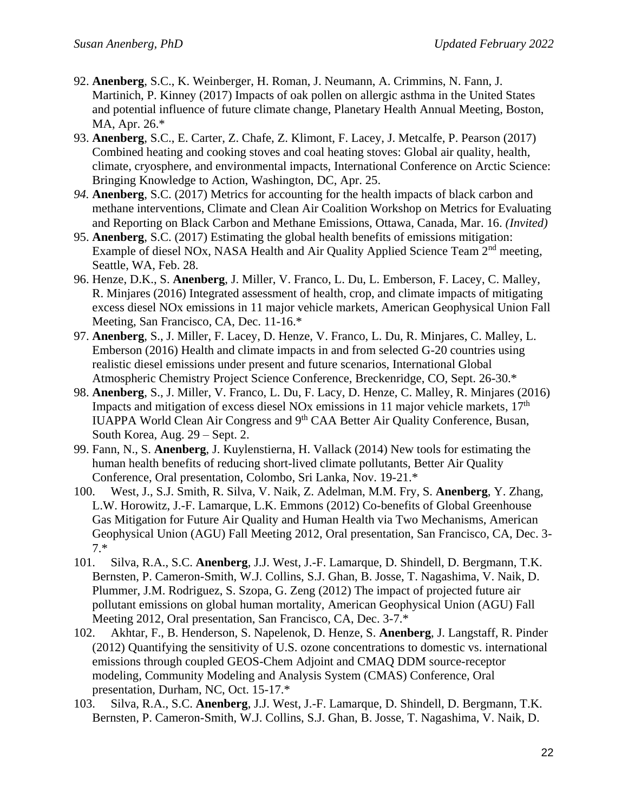- 92. **Anenberg**, S.C., K. Weinberger, H. Roman, J. Neumann, A. Crimmins, N. Fann, J. Martinich, P. Kinney (2017) Impacts of oak pollen on allergic asthma in the United States and potential influence of future climate change, Planetary Health Annual Meeting, Boston, MA, Apr. 26.\*
- 93. **Anenberg**, S.C., E. Carter, Z. Chafe, Z. Klimont, F. Lacey, J. Metcalfe, P. Pearson (2017) Combined heating and cooking stoves and coal heating stoves: Global air quality, health, climate, cryosphere, and environmental impacts, International Conference on Arctic Science: Bringing Knowledge to Action, Washington, DC, Apr. 25.
- *94.* **Anenberg**, S.C. (2017) Metrics for accounting for the health impacts of black carbon and methane interventions, Climate and Clean Air Coalition Workshop on Metrics for Evaluating and Reporting on Black Carbon and Methane Emissions, Ottawa, Canada, Mar. 16. *(Invited)*
- 95. **Anenberg**, S.C. (2017) Estimating the global health benefits of emissions mitigation: Example of diesel NOx, NASA Health and Air Quality Applied Science Team 2<sup>nd</sup> meeting, Seattle, WA, Feb. 28.
- 96. Henze, D.K., S. **Anenberg**, J. Miller, V. Franco, L. Du, L. Emberson, F. Lacey, C. Malley, R. Minjares (2016) Integrated assessment of health, crop, and climate impacts of mitigating excess diesel NOx emissions in 11 major vehicle markets, American Geophysical Union Fall Meeting, San Francisco, CA, Dec. 11-16.\*
- 97. **Anenberg**, S., J. Miller, F. Lacey, D. Henze, V. Franco, L. Du, R. Minjares, C. Malley, L. Emberson (2016) Health and climate impacts in and from selected G-20 countries using realistic diesel emissions under present and future scenarios, International Global Atmospheric Chemistry Project Science Conference, Breckenridge, CO, Sept. 26-30.\*
- 98. **Anenberg**, S., J. Miller, V. Franco, L. Du, F. Lacy, D. Henze, C. Malley, R. Minjares (2016) Impacts and mitigation of excess diesel NOx emissions in 11 major vehicle markets,  $17<sup>th</sup>$ IUAPPA World Clean Air Congress and 9th CAA Better Air Quality Conference, Busan, South Korea, Aug. 29 – Sept. 2.
- 99. Fann, N., S. **Anenberg**, J. Kuylenstierna, H. Vallack (2014) New tools for estimating the human health benefits of reducing short-lived climate pollutants, Better Air Quality Conference, Oral presentation, Colombo, Sri Lanka, Nov. 19-21.\*
- 100. West, J., S.J. Smith, R. Silva, V. Naik, Z. Adelman, M.M. Fry, S. **Anenberg**, Y. Zhang, L.W. Horowitz, J.-F. Lamarque, L.K. Emmons (2012) Co-benefits of Global Greenhouse Gas Mitigation for Future Air Quality and Human Health via Two Mechanisms, American Geophysical Union (AGU) Fall Meeting 2012, Oral presentation, San Francisco, CA, Dec. 3- 7.\*
- 101. Silva, R.A., S.C. **Anenberg**, J.J. West, J.-F. Lamarque, D. Shindell, D. Bergmann, T.K. Bernsten, P. Cameron-Smith, W.J. Collins, S.J. Ghan, B. Josse, T. Nagashima, V. Naik, D. Plummer, J.M. Rodriguez, S. Szopa, G. Zeng (2012) The impact of projected future air pollutant emissions on global human mortality, American Geophysical Union (AGU) Fall Meeting 2012, Oral presentation, San Francisco, CA, Dec. 3-7.\*
- 102. Akhtar, F., B. Henderson, S. Napelenok, D. Henze, S. **Anenberg**, J. Langstaff, R. Pinder (2012) Quantifying the sensitivity of U.S. ozone concentrations to domestic vs. international emissions through coupled GEOS-Chem Adjoint and CMAQ DDM source-receptor modeling, Community Modeling and Analysis System (CMAS) Conference, Oral presentation, Durham, NC, Oct. 15-17.\*
- 103. Silva, R.A., S.C. **Anenberg**, J.J. West, J.-F. Lamarque, D. Shindell, D. Bergmann, T.K. Bernsten, P. Cameron-Smith, W.J. Collins, S.J. Ghan, B. Josse, T. Nagashima, V. Naik, D.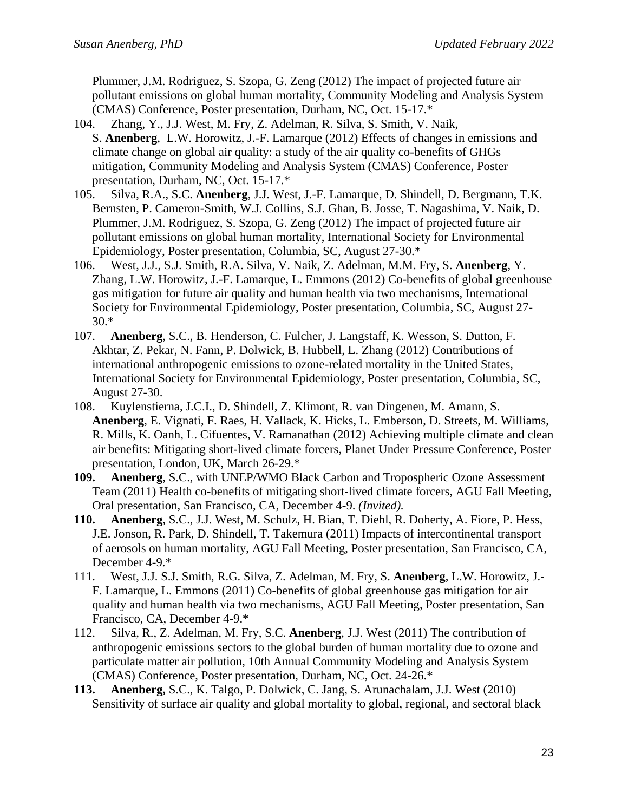Plummer, J.M. Rodriguez, S. Szopa, G. Zeng (2012) The impact of projected future air pollutant emissions on global human mortality, Community Modeling and Analysis System (CMAS) Conference, Poster presentation, Durham, NC, Oct. 15-17.\*

- 104. Zhang, Y., J.J. West, M. Fry, Z. Adelman, R. Silva, S. Smith, V. Naik, S. **Anenberg**, L.W. Horowitz, J.-F. Lamarque (2012) Effects of changes in emissions and climate change on global air quality: a study of the air quality co-benefits of GHGs mitigation, Community Modeling and Analysis System (CMAS) Conference, Poster presentation, Durham, NC, Oct. 15-17.\*
- 105. Silva, R.A., S.C. **Anenberg**, J.J. West, J.-F. Lamarque, D. Shindell, D. Bergmann, T.K. Bernsten, P. Cameron-Smith, W.J. Collins, S.J. Ghan, B. Josse, T. Nagashima, V. Naik, D. Plummer, J.M. Rodriguez, S. Szopa, G. Zeng (2012) The impact of projected future air pollutant emissions on global human mortality, International Society for Environmental Epidemiology, Poster presentation, Columbia, SC, August 27-30.\*
- 106. West, J.J., S.J. Smith, R.A. Silva, V. Naik, Z. Adelman, M.M. Fry, S. **Anenberg**, Y. Zhang, L.W. Horowitz, J.-F. Lamarque, L. Emmons (2012) Co-benefits of global greenhouse gas mitigation for future air quality and human health via two mechanisms, International Society for Environmental Epidemiology, Poster presentation, Columbia, SC, August 27- 30.\*
- 107. **Anenberg**, S.C., B. Henderson, C. Fulcher, J. Langstaff, K. Wesson, S. Dutton, F. Akhtar, Z. Pekar, N. Fann, P. Dolwick, B. Hubbell, L. Zhang (2012) Contributions of international anthropogenic emissions to ozone-related mortality in the United States, International Society for Environmental Epidemiology, Poster presentation, Columbia, SC, August 27-30.
- 108. Kuylenstierna, J.C.I., D. Shindell, Z. Klimont, R. van Dingenen, M. Amann, S. **Anenberg**, E. Vignati, F. Raes, H. Vallack, K. Hicks, L. Emberson, D. Streets, M. Williams, R. Mills, K. Oanh, L. Cifuentes, V. Ramanathan (2012) Achieving multiple climate and clean air benefits: Mitigating short-lived climate forcers, Planet Under Pressure Conference, Poster presentation, London, UK, March 26-29.\*
- **109. Anenberg**, S.C., with UNEP/WMO Black Carbon and Tropospheric Ozone Assessment Team (2011) Health co-benefits of mitigating short-lived climate forcers, AGU Fall Meeting, Oral presentation, San Francisco, CA, December 4-9. *(Invited).*
- **110. Anenberg**, S.C., J.J. West, M. Schulz, H. Bian, T. Diehl, R. Doherty, A. Fiore, P. Hess, J.E. Jonson, R. Park, D. Shindell, T. Takemura (2011) Impacts of intercontinental transport of aerosols on human mortality, AGU Fall Meeting, Poster presentation, San Francisco, CA, December 4-9.\*
- 111. West, J.J. S.J. Smith, R.G. Silva, Z. Adelman, M. Fry, S. **Anenberg**, L.W. Horowitz, J.- F. Lamarque, L. Emmons (2011) Co-benefits of global greenhouse gas mitigation for air quality and human health via two mechanisms, AGU Fall Meeting, Poster presentation, San Francisco, CA, December 4-9.\*
- 112. Silva, R., Z. Adelman, M. Fry, S.C. **Anenberg**, J.J. West (2011) The contribution of anthropogenic emissions sectors to the global burden of human mortality due to ozone and particulate matter air pollution, 10th Annual Community Modeling and Analysis System (CMAS) Conference, Poster presentation, Durham, NC, Oct. 24-26.\*
- **113. Anenberg,** S.C., K. Talgo, P. Dolwick, C. Jang, S. Arunachalam, J.J. West (2010) Sensitivity of surface air quality and global mortality to global, regional, and sectoral black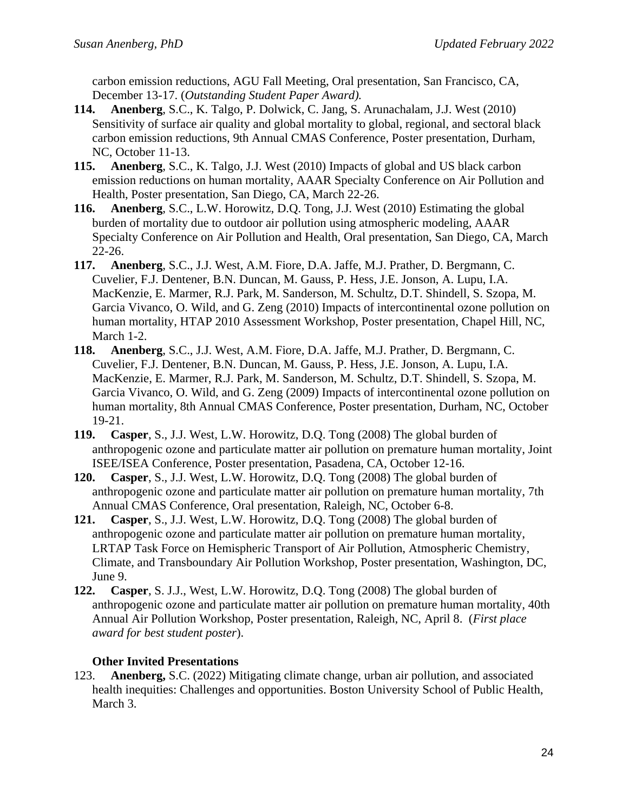carbon emission reductions, AGU Fall Meeting, Oral presentation, San Francisco, CA, December 13-17. (*Outstanding Student Paper Award).*

- **114. Anenberg**, S.C., K. Talgo, P. Dolwick, C. Jang, S. Arunachalam, J.J. West (2010) Sensitivity of surface air quality and global mortality to global, regional, and sectoral black carbon emission reductions, 9th Annual CMAS Conference, Poster presentation, Durham, NC, October 11-13.
- **115. Anenberg**, S.C., K. Talgo, J.J. West (2010) Impacts of global and US black carbon emission reductions on human mortality, AAAR Specialty Conference on Air Pollution and Health, Poster presentation, San Diego, CA, March 22-26.
- **116. Anenberg**, S.C., L.W. Horowitz, D.Q. Tong, J.J. West (2010) Estimating the global burden of mortality due to outdoor air pollution using atmospheric modeling, AAAR Specialty Conference on Air Pollution and Health, Oral presentation, San Diego, CA, March 22-26.
- **117. Anenberg**, S.C., J.J. West, A.M. Fiore, D.A. Jaffe, M.J. Prather, D. Bergmann, C. Cuvelier, F.J. Dentener, B.N. Duncan, M. Gauss, P. Hess, J.E. Jonson, A. Lupu, I.A. MacKenzie, E. Marmer, R.J. Park, M. Sanderson, M. Schultz, D.T. Shindell, S. Szopa, M. Garcia Vivanco, O. Wild, and G. Zeng (2010) Impacts of intercontinental ozone pollution on human mortality, HTAP 2010 Assessment Workshop, Poster presentation, Chapel Hill, NC, March 1-2.
- **118. Anenberg**, S.C., J.J. West, A.M. Fiore, D.A. Jaffe, M.J. Prather, D. Bergmann, C. Cuvelier, F.J. Dentener, B.N. Duncan, M. Gauss, P. Hess, J.E. Jonson, A. Lupu, I.A. MacKenzie, E. Marmer, R.J. Park, M. Sanderson, M. Schultz, D.T. Shindell, S. Szopa, M. Garcia Vivanco, O. Wild, and G. Zeng (2009) Impacts of intercontinental ozone pollution on human mortality, 8th Annual CMAS Conference, Poster presentation, Durham, NC, October 19-21.
- **119. Casper**, S., J.J. West, L.W. Horowitz, D.Q. Tong (2008) The global burden of anthropogenic ozone and particulate matter air pollution on premature human mortality, Joint ISEE/ISEA Conference, Poster presentation, Pasadena, CA, October 12-16.
- **120. Casper**, S., J.J. West, L.W. Horowitz, D.Q. Tong (2008) The global burden of anthropogenic ozone and particulate matter air pollution on premature human mortality, 7th Annual CMAS Conference, Oral presentation, Raleigh, NC, October 6-8.
- **121. Casper**, S., J.J. West, L.W. Horowitz, D.Q. Tong (2008) The global burden of anthropogenic ozone and particulate matter air pollution on premature human mortality, LRTAP Task Force on Hemispheric Transport of Air Pollution, Atmospheric Chemistry, Climate, and Transboundary Air Pollution Workshop, Poster presentation, Washington, DC, June 9.
- **122. Casper**, S. J.J., West, L.W. Horowitz, D.Q. Tong (2008) The global burden of anthropogenic ozone and particulate matter air pollution on premature human mortality, 40th Annual Air Pollution Workshop, Poster presentation, Raleigh, NC, April 8. (*First place award for best student poster*).

## **Other Invited Presentations**

123. **Anenberg,** S.C. (2022) Mitigating climate change, urban air pollution, and associated health inequities: Challenges and opportunities. Boston University School of Public Health, March 3.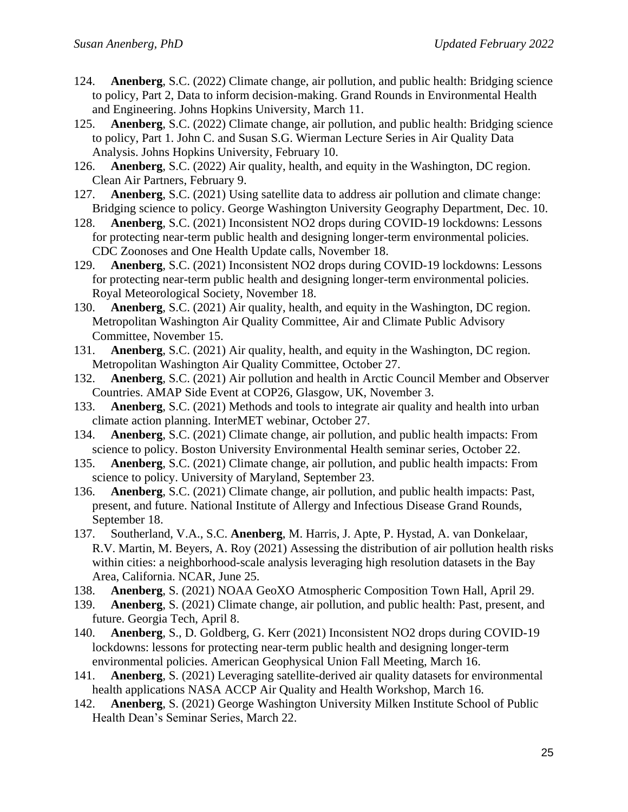- 124. **Anenberg**, S.C. (2022) Climate change, air pollution, and public health: Bridging science to policy, Part 2, Data to inform decision-making. Grand Rounds in Environmental Health and Engineering. Johns Hopkins University, March 11.
- 125. **Anenberg**, S.C. (2022) Climate change, air pollution, and public health: Bridging science to policy, Part 1. John C. and Susan S.G. Wierman Lecture Series in Air Quality Data Analysis. Johns Hopkins University, February 10.
- 126. **Anenberg**, S.C. (2022) Air quality, health, and equity in the Washington, DC region. Clean Air Partners, February 9.
- 127. **Anenberg**, S.C. (2021) Using satellite data to address air pollution and climate change: Bridging science to policy. George Washington University Geography Department, Dec. 10.
- 128. **Anenberg**, S.C. (2021) Inconsistent NO2 drops during COVID-19 lockdowns: Lessons for protecting near-term public health and designing longer-term environmental policies. CDC Zoonoses and One Health Update calls, November 18.
- 129. **Anenberg**, S.C. (2021) Inconsistent NO2 drops during COVID-19 lockdowns: Lessons for protecting near-term public health and designing longer-term environmental policies. Royal Meteorological Society, November 18.
- 130. **Anenberg**, S.C. (2021) Air quality, health, and equity in the Washington, DC region. Metropolitan Washington Air Quality Committee, Air and Climate Public Advisory Committee, November 15.
- 131. **Anenberg**, S.C. (2021) Air quality, health, and equity in the Washington, DC region. Metropolitan Washington Air Quality Committee, October 27.
- 132. **Anenberg**, S.C. (2021) Air pollution and health in Arctic Council Member and Observer Countries. AMAP Side Event at COP26, Glasgow, UK, November 3.
- 133. **Anenberg**, S.C. (2021) Methods and tools to integrate air quality and health into urban climate action planning. InterMET webinar, October 27.
- 134. **Anenberg**, S.C. (2021) Climate change, air pollution, and public health impacts: From science to policy. Boston University Environmental Health seminar series, October 22.
- 135. **Anenberg**, S.C. (2021) Climate change, air pollution, and public health impacts: From science to policy. University of Maryland, September 23.
- 136. **Anenberg**, S.C. (2021) Climate change, air pollution, and public health impacts: Past, present, and future. National Institute of Allergy and Infectious Disease Grand Rounds, September 18.
- 137. Southerland, V.A., S.C. **Anenberg**, M. Harris, J. Apte, P. Hystad, A. van Donkelaar, R.V. Martin, M. Beyers, A. Roy (2021) Assessing the distribution of air pollution health risks within cities: a neighborhood-scale analysis leveraging high resolution datasets in the Bay Area, California. NCAR, June 25.
- 138. **Anenberg**, S. (2021) NOAA GeoXO Atmospheric Composition Town Hall, April 29.
- 139. **Anenberg**, S. (2021) Climate change, air pollution, and public health: Past, present, and future. Georgia Tech, April 8.
- 140. **Anenberg**, S., D. Goldberg, G. Kerr (2021) Inconsistent NO2 drops during COVID-19 lockdowns: lessons for protecting near-term public health and designing longer-term environmental policies. American Geophysical Union Fall Meeting, March 16.
- 141. **Anenberg**, S. (2021) Leveraging satellite-derived air quality datasets for environmental health applications NASA ACCP Air Quality and Health Workshop, March 16.
- 142. **Anenberg**, S. (2021) George Washington University Milken Institute School of Public Health Dean's Seminar Series, March 22.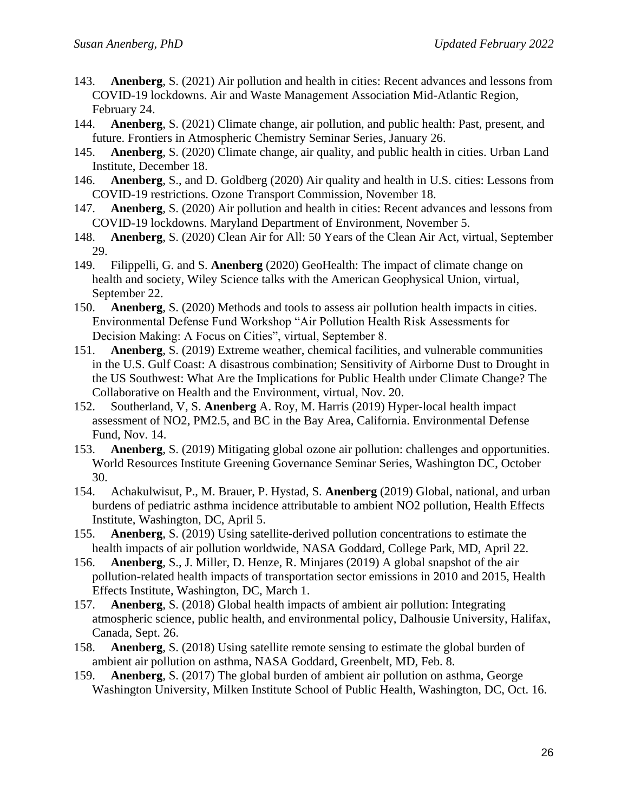- 143. **Anenberg**, S. (2021) Air pollution and health in cities: Recent advances and lessons from COVID-19 lockdowns. Air and Waste Management Association Mid-Atlantic Region, February 24.
- 144. **Anenberg**, S. (2021) Climate change, air pollution, and public health: Past, present, and future. Frontiers in Atmospheric Chemistry Seminar Series, January 26.
- 145. **Anenberg**, S. (2020) Climate change, air quality, and public health in cities. Urban Land Institute, December 18.
- 146. **Anenberg**, S., and D. Goldberg (2020) Air quality and health in U.S. cities: Lessons from COVID-19 restrictions. Ozone Transport Commission, November 18.
- 147. **Anenberg**, S. (2020) Air pollution and health in cities: Recent advances and lessons from COVID-19 lockdowns. Maryland Department of Environment, November 5.
- 148. **Anenberg**, S. (2020) Clean Air for All: 50 Years of the Clean Air Act, virtual, September 29.
- 149. Filippelli, G. and S. **Anenberg** (2020) GeoHealth: The impact of climate change on health and society, Wiley Science talks with the American Geophysical Union, virtual, September 22.
- 150. **Anenberg**, S. (2020) Methods and tools to assess air pollution health impacts in cities. Environmental Defense Fund Workshop "Air Pollution Health Risk Assessments for Decision Making: A Focus on Cities", virtual, September 8.
- 151. **Anenberg**, S. (2019) Extreme weather, chemical facilities, and vulnerable communities in the U.S. Gulf Coast: A disastrous combination; Sensitivity of Airborne Dust to Drought in the US Southwest: What Are the Implications for Public Health under Climate Change? The Collaborative on Health and the Environment, virtual, Nov. 20.
- 152. Southerland, V, S. **Anenberg** A. Roy, M. Harris (2019) Hyper-local health impact assessment of NO2, PM2.5, and BC in the Bay Area, California. Environmental Defense Fund, Nov. 14.
- 153. **Anenberg**, S. (2019) Mitigating global ozone air pollution: challenges and opportunities. World Resources Institute Greening Governance Seminar Series, Washington DC, October 30.
- 154. Achakulwisut, P., M. Brauer, P. Hystad, S. **Anenberg** (2019) Global, national, and urban burdens of pediatric asthma incidence attributable to ambient NO2 pollution, Health Effects Institute, Washington, DC, April 5.
- 155. **Anenberg**, S. (2019) Using satellite-derived pollution concentrations to estimate the health impacts of air pollution worldwide, NASA Goddard, College Park, MD, April 22.
- 156. **Anenberg**, S., J. Miller, D. Henze, R. Minjares (2019) A global snapshot of the air pollution-related health impacts of transportation sector emissions in 2010 and 2015, Health Effects Institute, Washington, DC, March 1.
- 157. **Anenberg**, S. (2018) Global health impacts of ambient air pollution: Integrating atmospheric science, public health, and environmental policy, Dalhousie University, Halifax, Canada, Sept. 26.
- 158. **Anenberg**, S. (2018) Using satellite remote sensing to estimate the global burden of ambient air pollution on asthma, NASA Goddard, Greenbelt, MD, Feb. 8.
- 159. **Anenberg**, S. (2017) The global burden of ambient air pollution on asthma, George Washington University, Milken Institute School of Public Health, Washington, DC, Oct. 16.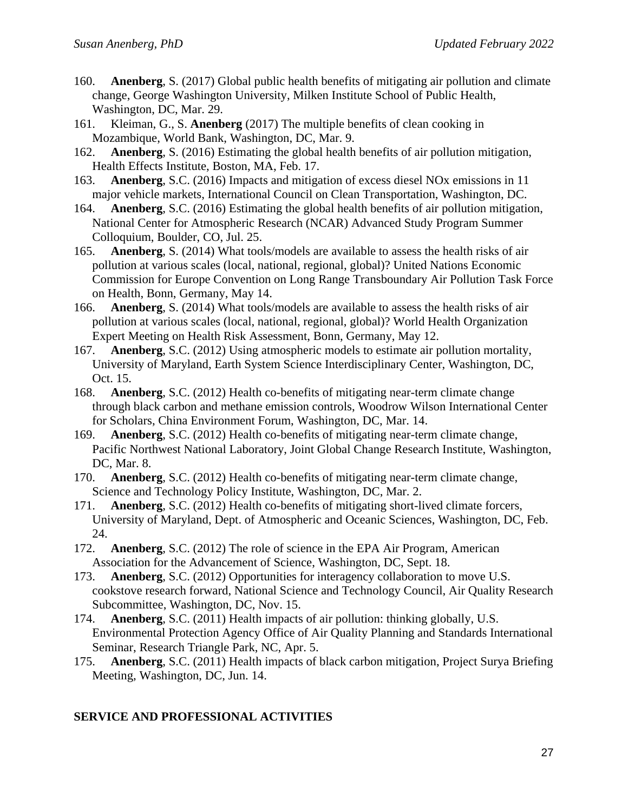- 160. **Anenberg**, S. (2017) Global public health benefits of mitigating air pollution and climate change, George Washington University, Milken Institute School of Public Health, Washington, DC, Mar. 29.
- 161. Kleiman, G., S. **Anenberg** (2017) The multiple benefits of clean cooking in Mozambique, World Bank, Washington, DC, Mar. 9.
- 162. **Anenberg**, S. (2016) Estimating the global health benefits of air pollution mitigation, Health Effects Institute, Boston, MA, Feb. 17.
- 163. **Anenberg**, S.C. (2016) Impacts and mitigation of excess diesel NOx emissions in 11 major vehicle markets, International Council on Clean Transportation, Washington, DC.
- 164. **Anenberg**, S.C. (2016) Estimating the global health benefits of air pollution mitigation, National Center for Atmospheric Research (NCAR) Advanced Study Program Summer Colloquium, Boulder, CO, Jul. 25.
- 165. **Anenberg**, S. (2014) What tools/models are available to assess the health risks of air pollution at various scales (local, national, regional, global)? United Nations Economic Commission for Europe Convention on Long Range Transboundary Air Pollution Task Force on Health, Bonn, Germany, May 14.
- 166. **Anenberg**, S. (2014) What tools/models are available to assess the health risks of air pollution at various scales (local, national, regional, global)? World Health Organization Expert Meeting on Health Risk Assessment, Bonn, Germany, May 12.
- 167. **Anenberg**, S.C. (2012) Using atmospheric models to estimate air pollution mortality, University of Maryland, Earth System Science Interdisciplinary Center, Washington, DC, Oct. 15.
- 168. **Anenberg**, S.C. (2012) Health co-benefits of mitigating near-term climate change through black carbon and methane emission controls, Woodrow Wilson International Center for Scholars, China Environment Forum, Washington, DC, Mar. 14.
- 169. **Anenberg**, S.C. (2012) Health co-benefits of mitigating near-term climate change, Pacific Northwest National Laboratory, Joint Global Change Research Institute, Washington, DC, Mar. 8.
- 170. **Anenberg**, S.C. (2012) Health co-benefits of mitigating near-term climate change, Science and Technology Policy Institute, Washington, DC, Mar. 2.
- 171. **Anenberg**, S.C. (2012) Health co-benefits of mitigating short-lived climate forcers, University of Maryland, Dept. of Atmospheric and Oceanic Sciences, Washington, DC, Feb. 24.
- 172. **Anenberg**, S.C. (2012) The role of science in the EPA Air Program, American Association for the Advancement of Science, Washington, DC, Sept. 18.
- 173. **Anenberg**, S.C. (2012) Opportunities for interagency collaboration to move U.S. cookstove research forward, National Science and Technology Council, Air Quality Research Subcommittee, Washington, DC, Nov. 15.
- 174. **Anenberg**, S.C. (2011) Health impacts of air pollution: thinking globally, U.S. Environmental Protection Agency Office of Air Quality Planning and Standards International Seminar, Research Triangle Park, NC, Apr. 5.
- 175. **Anenberg**, S.C. (2011) Health impacts of black carbon mitigation, Project Surya Briefing Meeting, Washington, DC, Jun. 14.

## **SERVICE AND PROFESSIONAL ACTIVITIES**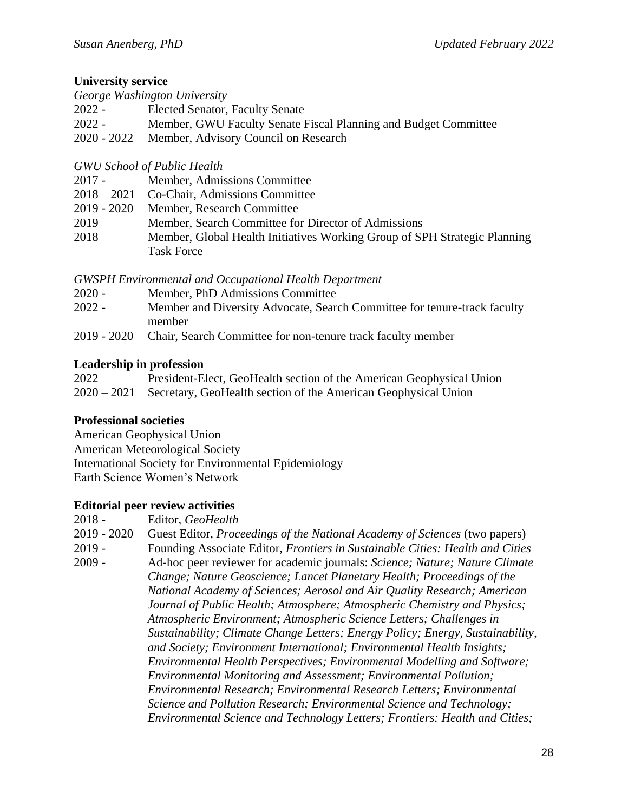### **University service**

|               | George Washington University                                    |
|---------------|-----------------------------------------------------------------|
| $2022 -$      | <b>Elected Senator, Faculty Senate</b>                          |
| $2022 -$      | Member, GWU Faculty Senate Fiscal Planning and Budget Committee |
| $2020 - 2022$ | Member, Advisory Council on Research                            |

### *GWU School of Public Health*

| $2017 -$ | Member, Admissions Committee                                              |
|----------|---------------------------------------------------------------------------|
|          | 2018 – 2021 Co-Chair, Admissions Committee                                |
|          | 2019 - 2020 Member, Research Committee                                    |
| 2019     | Member, Search Committee for Director of Admissions                       |
| 2018     | Member, Global Health Initiatives Working Group of SPH Strategic Planning |
|          | <b>Task Force</b>                                                         |

#### *GWSPH Environmental and Occupational Health Department*

- 2020 Member, PhD Admissions Committee
- 2022 Member and Diversity Advocate, Search Committee for tenure-track faculty member
- 2019 2020 Chair, Search Committee for non-tenure track faculty member

### **Leadership in profession**

| $2022 -$ | President-Elect, GeoHealth section of the American Geophysical Union       |
|----------|----------------------------------------------------------------------------|
|          | 2020 – 2021 Secretary, GeoHealth section of the American Geophysical Union |

#### **Professional societies**

American Geophysical Union American Meteorological Society International Society for Environmental Epidemiology Earth Science Women's Network

## **Editorial peer review activities**

2018 - Editor, *GeoHealth*

2019 - 2020 Guest Editor, *Proceedings of the National Academy of Sciences* (two papers)

2019 - Founding Associate Editor, *Frontiers in Sustainable Cities: Health and Cities*

2009 - Ad-hoc peer reviewer for academic journals: *Science; Nature; Nature Climate Change; Nature Geoscience; Lancet Planetary Health; Proceedings of the National Academy of Sciences; Aerosol and Air Quality Research; American Journal of Public Health; Atmosphere; Atmospheric Chemistry and Physics; Atmospheric Environment; Atmospheric Science Letters; Challenges in Sustainability; Climate Change Letters; Energy Policy; Energy, Sustainability, and Society; Environment International; Environmental Health Insights; Environmental Health Perspectives; Environmental Modelling and Software; Environmental Monitoring and Assessment; Environmental Pollution; Environmental Research; Environmental Research Letters; Environmental Science and Pollution Research; Environmental Science and Technology; Environmental Science and Technology Letters; Frontiers: Health and Cities;*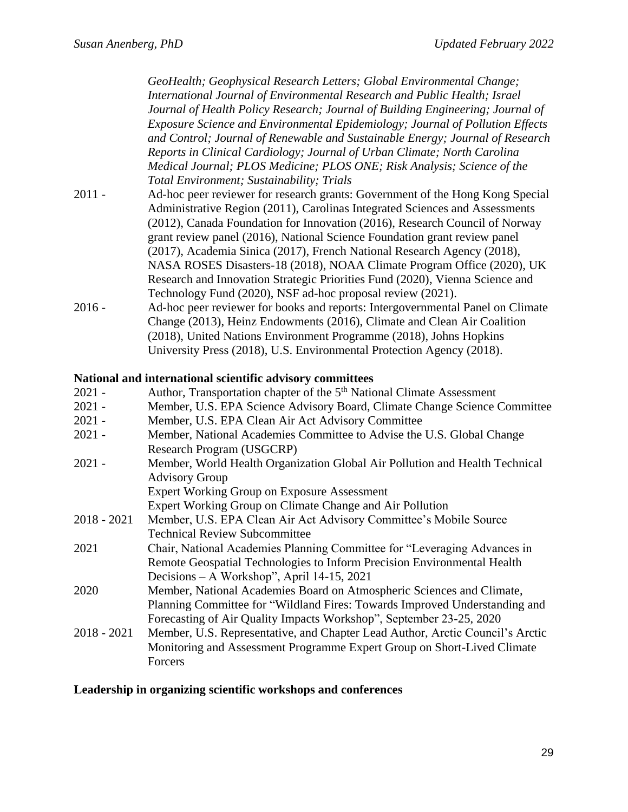*GeoHealth; Geophysical Research Letters; Global Environmental Change; International Journal of Environmental Research and Public Health; Israel Journal of Health Policy Research; Journal of Building Engineering; Journal of Exposure Science and Environmental Epidemiology; Journal of Pollution Effects and Control; Journal of Renewable and Sustainable Energy; Journal of Research Reports in Clinical Cardiology; Journal of Urban Climate; North Carolina Medical Journal; PLOS Medicine; PLOS ONE; Risk Analysis; Science of the Total Environment; Sustainability; Trials*

- 2011 Ad-hoc peer reviewer for research grants: Government of the Hong Kong Special Administrative Region (2011), Carolinas Integrated Sciences and Assessments (2012), Canada Foundation for Innovation (2016), Research Council of Norway grant review panel (2016), National Science Foundation grant review panel (2017), Academia Sinica (2017), French National Research Agency (2018), NASA ROSES Disasters-18 (2018), NOAA Climate Program Office (2020), UK Research and Innovation Strategic Priorities Fund (2020), Vienna Science and Technology Fund (2020), NSF ad-hoc proposal review (2021).
- 2016 Ad-hoc peer reviewer for books and reports: Intergovernmental Panel on Climate Change (2013), Heinz Endowments (2016), Climate and Clean Air Coalition (2018), United Nations Environment Programme (2018), Johns Hopkins University Press (2018), U.S. Environmental Protection Agency (2018).

#### **National and international scientific advisory committees**

| $2021 -$      | Author, Transportation chapter of the 5 <sup>th</sup> National Climate Assessment |
|---------------|-----------------------------------------------------------------------------------|
| $2021 -$      | Member, U.S. EPA Science Advisory Board, Climate Change Science Committee         |
| $2021 -$      | Member, U.S. EPA Clean Air Act Advisory Committee                                 |
| $2021 -$      | Member, National Academies Committee to Advise the U.S. Global Change             |
|               | Research Program (USGCRP)                                                         |
| $2021 -$      | Member, World Health Organization Global Air Pollution and Health Technical       |
|               | <b>Advisory Group</b>                                                             |
|               | <b>Expert Working Group on Exposure Assessment</b>                                |
|               | Expert Working Group on Climate Change and Air Pollution                          |
| $2018 - 2021$ | Member, U.S. EPA Clean Air Act Advisory Committee's Mobile Source                 |
|               | <b>Technical Review Subcommittee</b>                                              |
| 2021          | Chair, National Academies Planning Committee for "Leveraging Advances in          |
|               | Remote Geospatial Technologies to Inform Precision Environmental Health           |
|               | Decisions - A Workshop", April 14-15, 2021                                        |
| 2020          | Member, National Academies Board on Atmospheric Sciences and Climate,             |
|               | Planning Committee for "Wildland Fires: Towards Improved Understanding and        |
|               | Forecasting of Air Quality Impacts Workshop", September 23-25, 2020               |
| $2018 - 2021$ | Member, U.S. Representative, and Chapter Lead Author, Arctic Council's Arctic     |
|               | Monitoring and Assessment Programme Expert Group on Short-Lived Climate           |
|               | Forcers                                                                           |
|               |                                                                                   |

#### **Leadership in organizing scientific workshops and conferences**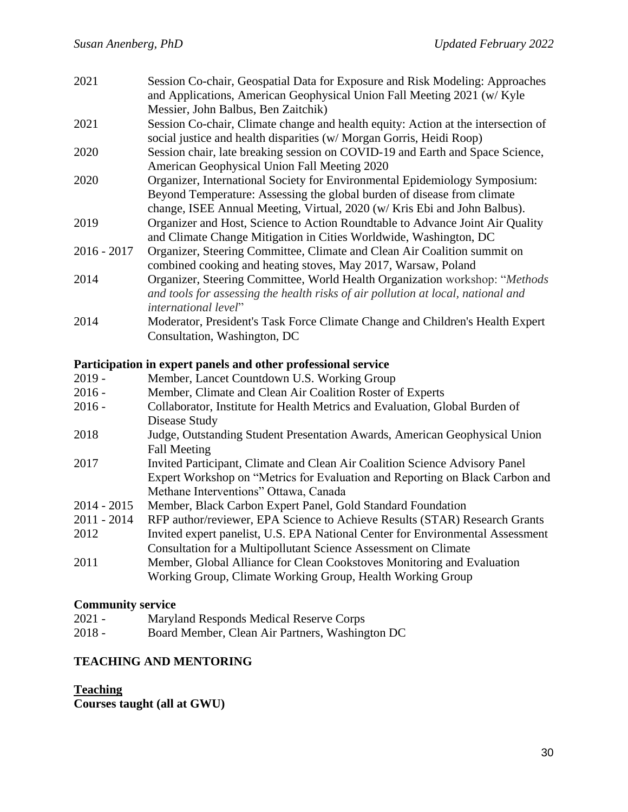| 2021 | Session Co-chair, Geospatial Data for Exposure and Risk Modeling: Approaches |
|------|------------------------------------------------------------------------------|
|      | and Applications, American Geophysical Union Fall Meeting 2021 (w/Kyle       |
|      | Messier, John Balbus, Ben Zaitchik)                                          |

- 2021 Session Co-chair, Climate change and health equity: Action at the intersection of social justice and health disparities (w/ Morgan Gorris, Heidi Roop)
- 2020 Session chair, late breaking session on COVID-19 and Earth and Space Science, American Geophysical Union Fall Meeting 2020
- 2020 Organizer, International Society for Environmental Epidemiology Symposium: Beyond Temperature: Assessing the global burden of disease from climate change, ISEE Annual Meeting, Virtual, 2020 (w/ Kris Ebi and John Balbus).
- 2019 Organizer and Host, Science to Action Roundtable to Advance Joint Air Quality and Climate Change Mitigation in Cities Worldwide, Washington, DC
- 2016 2017 Organizer, Steering Committee, Climate and Clean Air Coalition summit on combined cooking and heating stoves, May 2017, Warsaw, Poland
- 2014 Organizer, Steering Committee, World Health Organization workshop: "*Methods and tools for assessing the health risks of air pollution at local, national and international level*"
- 2014 Moderator, President's Task Force Climate Change and Children's Health Expert Consultation, Washington, DC

#### **Participation in expert panels and other professional service**

| $2019 -$      | Member, Lancet Countdown U.S. Working Group                                    |
|---------------|--------------------------------------------------------------------------------|
| $2016 -$      | Member, Climate and Clean Air Coalition Roster of Experts                      |
| $2016 -$      | Collaborator, Institute for Health Metrics and Evaluation, Global Burden of    |
|               | Disease Study                                                                  |
| 2018          | Judge, Outstanding Student Presentation Awards, American Geophysical Union     |
|               | <b>Fall Meeting</b>                                                            |
| 2017          | Invited Participant, Climate and Clean Air Coalition Science Advisory Panel    |
|               | Expert Workshop on "Metrics for Evaluation and Reporting on Black Carbon and   |
|               | Methane Interventions" Ottawa, Canada                                          |
| $2014 - 2015$ | Member, Black Carbon Expert Panel, Gold Standard Foundation                    |
| $2011 - 2014$ | RFP author/reviewer, EPA Science to Achieve Results (STAR) Research Grants     |
| 2012          | Invited expert panelist, U.S. EPA National Center for Environmental Assessment |
|               | <b>Consultation for a Multipollutant Science Assessment on Climate</b>         |
| 2011          | Member, Global Alliance for Clean Cookstoves Monitoring and Evaluation         |
|               | Working Group, Climate Working Group, Health Working Group                     |

#### **Community service**

- 2021 Maryland Responds Medical Reserve Corps
- 2018 Board Member, Clean Air Partners, Washington DC

#### **TEACHING AND MENTORING**

**Teaching**

**Courses taught (all at GWU)**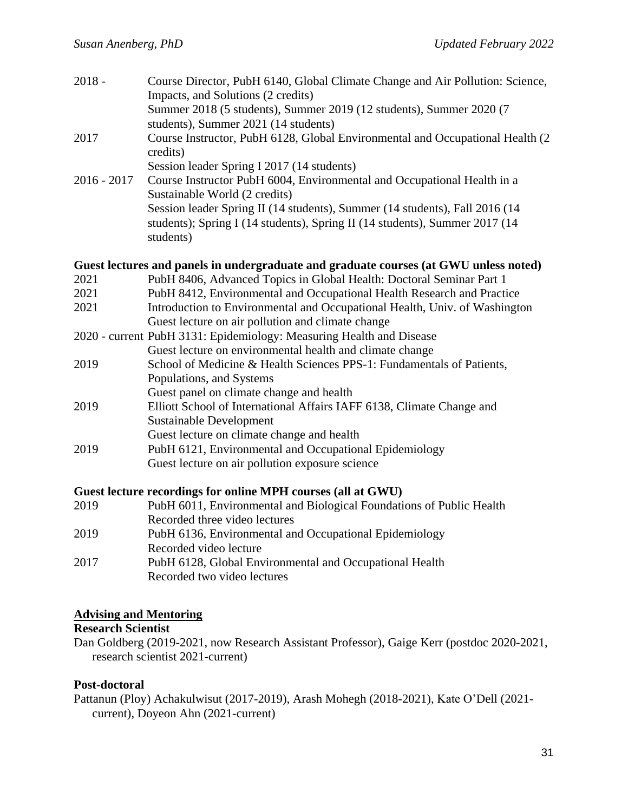| $2018 -$      | Course Director, PubH 6140, Global Climate Change and Air Pollution: Science,<br>Impacts, and Solutions (2 credits) |
|---------------|---------------------------------------------------------------------------------------------------------------------|
|               | Summer 2018 (5 students), Summer 2019 (12 students), Summer 2020 (7<br>students), Summer 2021 (14 students)         |
| 2017          | Course Instructor, PubH 6128, Global Environmental and Occupational Health (2)<br>credits)                          |
|               | Session leader Spring I 2017 (14 students)                                                                          |
| $2016 - 2017$ | Course Instructor PubH 6004, Environmental and Occupational Health in a<br>Sustainable World (2 credits)            |
|               | Session leader Spring II (14 students), Summer (14 students), Fall 2016 (14                                         |
|               | students); Spring I (14 students), Spring II (14 students), Summer 2017 (14<br>students)                            |
|               | Guest lectures and panels in undergraduate and graduate courses (at GWU unless noted)                               |
| 2021          | PubH 8406, Advanced Topics in Global Health: Doctoral Seminar Part 1                                                |
| 2021          | PubH 8412, Environmental and Occupational Health Research and Practice                                              |
| 2021          | Introduction to Environmental and Occupational Health, Univ. of Washington                                          |
|               | Guest lecture on air pollution and climate change                                                                   |
|               | 2020 - current PubH 3131: Epidemiology: Measuring Health and Disease                                                |
|               | Guest lecture on environmental health and climate change                                                            |
| 2019          | School of Medicine & Health Sciences PPS-1: Fundamentals of Patients,                                               |
|               | Populations, and Systems                                                                                            |
|               | Guest panel on climate change and health                                                                            |
| 2019          | Elliott School of International Affairs IAFF 6138, Climate Change and                                               |
|               | Sustainable Development                                                                                             |
|               | Guest lecture on climate change and health                                                                          |
| 2019          | PubH 6121, Environmental and Occupational Epidemiology                                                              |
|               | Guest lecture on air pollution exposure science                                                                     |
|               |                                                                                                                     |
|               | Guest lecture recordings for online MPH courses (all at GWU)                                                        |

| 2019 | PubH 6011, Environmental and Biological Foundations of Public Health |
|------|----------------------------------------------------------------------|
|      | Recorded three video lectures                                        |
| 2019 | PubH 6136, Environmental and Occupational Epidemiology               |
|      | Recorded video lecture                                               |
| 2017 | PubH 6128, Global Environmental and Occupational Health              |
|      | Recorded two video lectures                                          |
|      |                                                                      |

## **Advising and Mentoring**

## **Research Scientist**

Dan Goldberg (2019-2021, now Research Assistant Professor), Gaige Kerr (postdoc 2020-2021, research scientist 2021-current)

# **Post-doctoral**

Pattanun (Ploy) Achakulwisut (2017-2019), Arash Mohegh (2018-2021), Kate O'Dell (2021 current), Doyeon Ahn (2021-current)